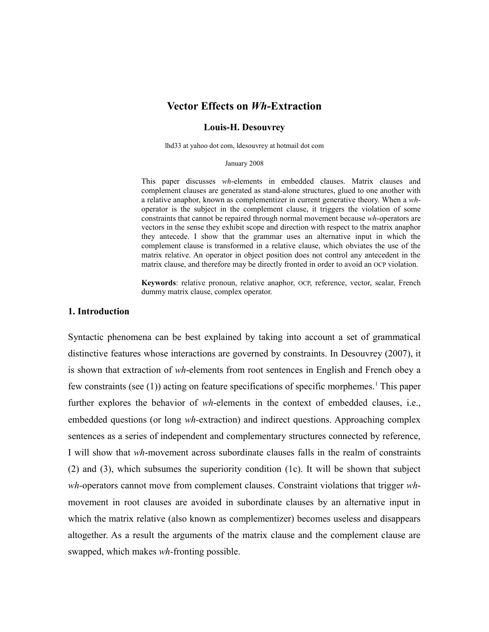# **Vector Effects on** *Wh***-Extraction**

## **Louis-H. Desouvrey**

lhd33 at yahoo dot com, ldesouvrey at hotmail dot com

#### January 2008

This paper discusses *wh*-elements in embedded clauses. Matrix clauses and complement clauses are generated as stand-alone structures, glued to one another with a relative anaphor, known as complementizer in current generative theory. When a *wh*operator is the subject in the complement clause, it triggers the violation of some constraints that cannot be repaired through normal movement because *wh*-operators are vectors in the sense they exhibit scope and direction with respect to the matrix anaphor they antecede. I show that the grammar uses an alternative input in which the complement clause is transformed in a relative clause, which obviates the use of the matrix relative. An operator in object position does not control any antecedent in the matrix clause, and therefore may be directly fronted in order to avoid an OCP violation.

**Keywords**: relative pronoun, relative anaphor, OCP, reference, vector, scalar, French dummy matrix clause, complex operator.

## **1. Introduction**

Syntactic phenomena can be best explained by taking into account a set of grammatical distinctive features whose interactions are governed by constraints. In Desouvrey (2007), it is shown that extraction of *wh*-elements from root sentences in English and French obey a few constraints (see ([1](#page-47-0))) acting on feature specifications of specific morphemes.<sup>1</sup> This paper further explores the behavior of *wh*-elements in the context of embedded clauses, i.e., embedded questions (or long *wh-*extraction) and indirect questions. Approaching complex sentences as a series of independent and complementary structures connected by reference, I will show that *wh*-movement across subordinate clauses falls in the realm of constraints (2) and (3), which subsumes the superiority condition (1c). It will be shown that subject *wh-*operators cannot move from complement clauses. Constraint violations that trigger *wh*movement in root clauses are avoided in subordinate clauses by an alternative input in which the matrix relative (also known as complementizer) becomes useless and disappears altogether. As a result the arguments of the matrix clause and the complement clause are swapped, which makes *wh-*fronting possible.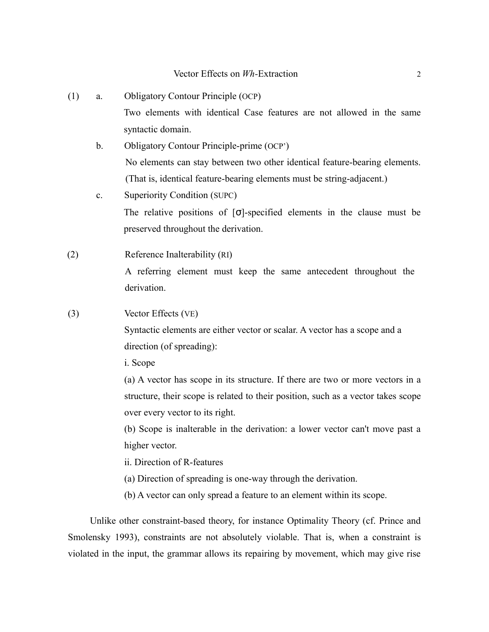- (1) a. Obligatory Contour Principle (OCP) Two elements with identical Case features are not allowed in the same syntactic domain.
	- b. Obligatory Contour Principle-prime (OCP') No elements can stay between two other identical feature-bearing elements. (That is, identical feature-bearing elements must be string-adjacent.)
	- c. Superiority Condition (SUPC) The relative positions of  $\sigma$ -specified elements in the clause must be preserved throughout the derivation.
- (2) Reference Inalterability (RI) A referring element must keep the same antecedent throughout the derivation.
- (3) Vector Effects (VE)

Syntactic elements are either vector or scalar. A vector has a scope and a direction (of spreading):

i. Scope

(a) A vector has scope in its structure. If there are two or more vectors in a structure, their scope is related to their position, such as a vector takes scope over every vector to its right.

(b) Scope is inalterable in the derivation: a lower vector can't move past a higher vector.

- ii. Direction of R-features
- (a) Direction of spreading is one-way through the derivation.
- (b) A vector can only spread a feature to an element within its scope.

Unlike other constraint-based theory, for instance Optimality Theory (cf. Prince and Smolensky 1993), constraints are not absolutely violable. That is, when a constraint is violated in the input, the grammar allows its repairing by movement, which may give rise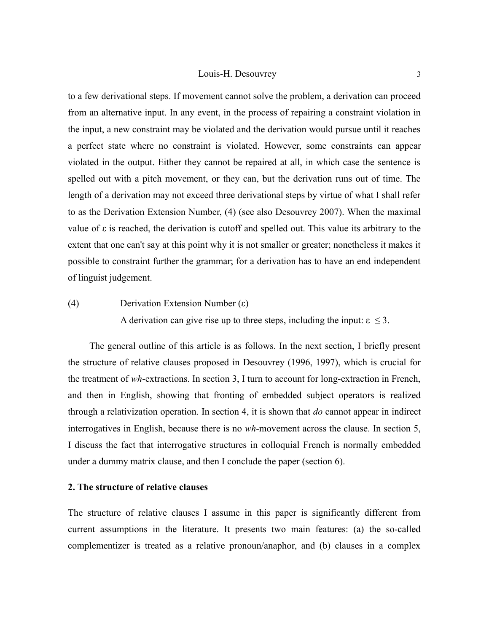to a few derivational steps. If movement cannot solve the problem, a derivation can proceed from an alternative input. In any event, in the process of repairing a constraint violation in the input, a new constraint may be violated and the derivation would pursue until it reaches a perfect state where no constraint is violated. However, some constraints can appear violated in the output. Either they cannot be repaired at all, in which case the sentence is spelled out with a pitch movement, or they can, but the derivation runs out of time. The length of a derivation may not exceed three derivational steps by virtue of what I shall refer to as the Derivation Extension Number, (4) (see also Desouvrey 2007). When the maximal value of ε is reached, the derivation is cutoff and spelled out. This value its arbitrary to the extent that one can't say at this point why it is not smaller or greater; nonetheless it makes it possible to constraint further the grammar; for a derivation has to have an end independent of linguist judgement.

# (4) Derivation Extension Number (ε)

A derivation can give rise up to three steps, including the input:  $\epsilon \leq 3$ .

The general outline of this article is as follows. In the next section, I briefly present the structure of relative clauses proposed in Desouvrey (1996, 1997), which is crucial for the treatment of *wh*-extractions. In section 3, I turn to account for long-extraction in French, and then in English, showing that fronting of embedded subject operators is realized through a relativization operation. In section 4, it is shown that *do* cannot appear in indirect interrogatives in English, because there is no *wh*-movement across the clause. In section 5, I discuss the fact that interrogative structures in colloquial French is normally embedded under a dummy matrix clause, and then I conclude the paper (section 6).

# **2. The structure of relative clauses**

The structure of relative clauses I assume in this paper is significantly different from current assumptions in the literature. It presents two main features: (a) the so-called complementizer is treated as a relative pronoun/anaphor, and (b) clauses in a complex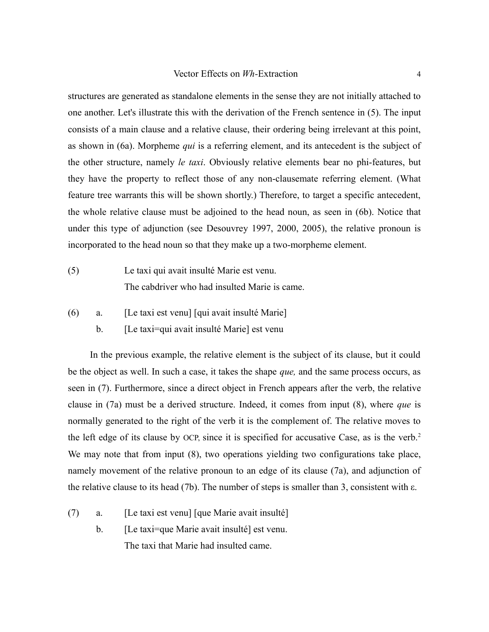structures are generated as standalone elements in the sense they are not initially attached to one another. Let's illustrate this with the derivation of the French sentence in (5). The input consists of a main clause and a relative clause, their ordering being irrelevant at this point, as shown in (6a). Morpheme *qui* is a referring element, and its antecedent is the subject of the other structure, namely *le taxi*. Obviously relative elements bear no phi-features, but they have the property to reflect those of any non-clausemate referring element. (What feature tree warrants this will be shown shortly.) Therefore, to target a specific antecedent, the whole relative clause must be adjoined to the head noun, as seen in (6b). Notice that under this type of adjunction (see Desouvrey 1997, 2000, 2005), the relative pronoun is incorporated to the head noun so that they make up a two-morpheme element.

- (5) Le taxi qui avait insulté Marie est venu. The cabdriver who had insulted Marie is came.
- (6) a. [Le taxi est venu] [qui avait insulté Marie]
	- b. [Le taxi=qui avait insulté Marie] est venu

In the previous example, the relative element is the subject of its clause, but it could be the object as well. In such a case, it takes the shape *que,* and the same process occurs, as seen in (7). Furthermore, since a direct object in French appears after the verb, the relative clause in (7a) must be a derived structure. Indeed, it comes from input (8), where *que* is normally generated to the right of the verb it is the complement of. The relative moves to the left edge of its clause by OCP, since it is specified for accusative Case, as is the verb.<sup>[2](#page-47-1)</sup> We may note that from input (8), two operations yielding two configurations take place, namely movement of the relative pronoun to an edge of its clause (7a), and adjunction of the relative clause to its head (7b). The number of steps is smaller than 3, consistent with ε.

- (7) a. [Le taxi est venu] [que Marie avait insulté]
	- b. [Le taxi=que Marie avait insulté] est venu. The taxi that Marie had insulted came.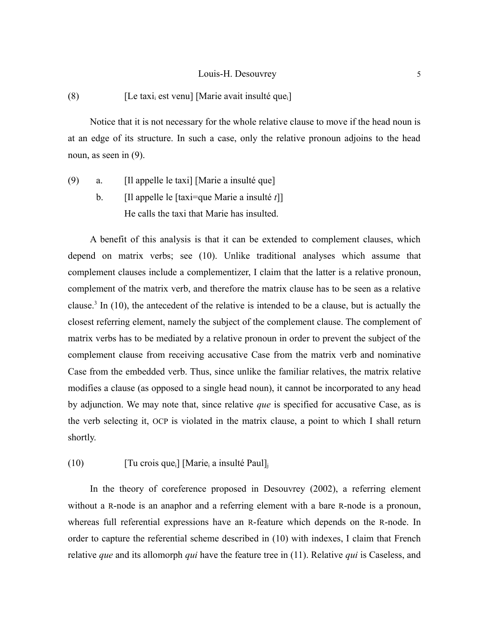## (8) [Le taxi<sub>i</sub> est venu] [Marie avait insulté que<sub>i</sub>]

Notice that it is not necessary for the whole relative clause to move if the head noun is at an edge of its structure. In such a case, only the relative pronoun adjoins to the head noun, as seen in (9).

(9) a. [Il appelle le taxi] [Marie a insulté que] b. [Il appelle le [taxi=que Marie a insulté *t*]] He calls the taxi that Marie has insulted.

A benefit of this analysis is that it can be extended to complement clauses, which depend on matrix verbs; see (10). Unlike traditional analyses which assume that complement clauses include a complementizer, I claim that the latter is a relative pronoun, complement of the matrix verb, and therefore the matrix clause has to be seen as a relative clause.<sup>[3](#page-47-2)</sup> In  $(10)$ , the antecedent of the relative is intended to be a clause, but is actually the closest referring element, namely the subject of the complement clause. The complement of matrix verbs has to be mediated by a relative pronoun in order to prevent the subject of the complement clause from receiving accusative Case from the matrix verb and nominative Case from the embedded verb. Thus, since unlike the familiar relatives, the matrix relative modifies a clause (as opposed to a single head noun), it cannot be incorporated to any head by adjunction. We may note that, since relative *que* is specified for accusative Case, as is the verb selecting it, OCP is violated in the matrix clause, a point to which I shall return shortly.

(10) [Tu crois que<sub>i</sub>] [Marie<sub>i</sub> a insulté Paul]<sub>i</sub>

In the theory of coreference proposed in Desouvrey (2002), a referring element without a R-node is an anaphor and a referring element with a bare R-node is a pronoun, whereas full referential expressions have an R-feature which depends on the R-node. In order to capture the referential scheme described in (10) with indexes, I claim that French relative *que* and its allomorph *qui* have the feature tree in (11). Relative *qui* is Caseless, and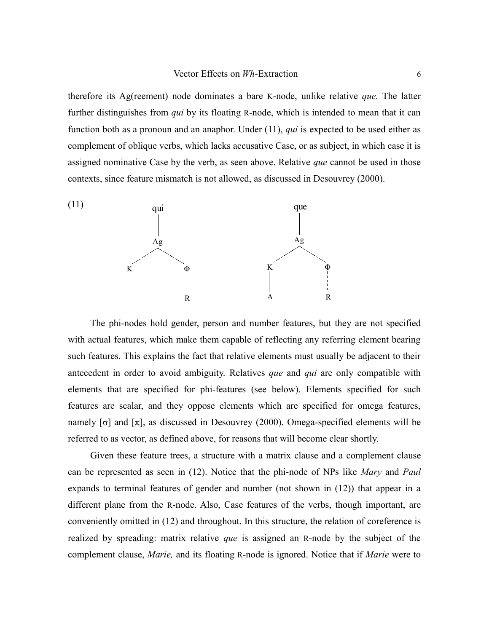therefore its Ag(reement) node dominates a bare K-node, unlike relative *que.* The latter further distinguishes from *qui* by its floating R-node, which is intended to mean that it can function both as a pronoun and an anaphor. Under (11), *qui* is expected to be used either as complement of oblique verbs, which lacks accusative Case, or as subject, in which case it is assigned nominative Case by the verb, as seen above. Relative *que* cannot be used in those contexts, since feature mismatch is not allowed, as discussed in Desouvrey (2000).



The phi-nodes hold gender, person and number features, but they are not specified with actual features, which make them capable of reflecting any referring element bearing such features. This explains the fact that relative elements must usually be adjacent to their antecedent in order to avoid ambiguity. Relatives *que* and *qui* are only compatible with elements that are specified for phi-features (see below). Elements specified for such features are scalar, and they oppose elements which are specified for omega features, namely  $\lceil \sigma \rceil$  and  $\lceil \pi \rceil$ , as discussed in Desouvrey (2000). Omega-specified elements will be referred to as vector, as defined above, for reasons that will become clear shortly.

Given these feature trees, a structure with a matrix clause and a complement clause can be represented as seen in (12). Notice that the phi-node of NPs like *Mary* and *Paul* expands to terminal features of gender and number (not shown in (12)) that appear in a different plane from the R-node. Also, Case features of the verbs, though important, are conveniently omitted in (12) and throughout. In this structure, the relation of coreference is realized by spreading: matrix relative *que* is assigned an R-node by the subject of the complement clause, *Marie,* and its floating R-node is ignored. Notice that if *Marie* were to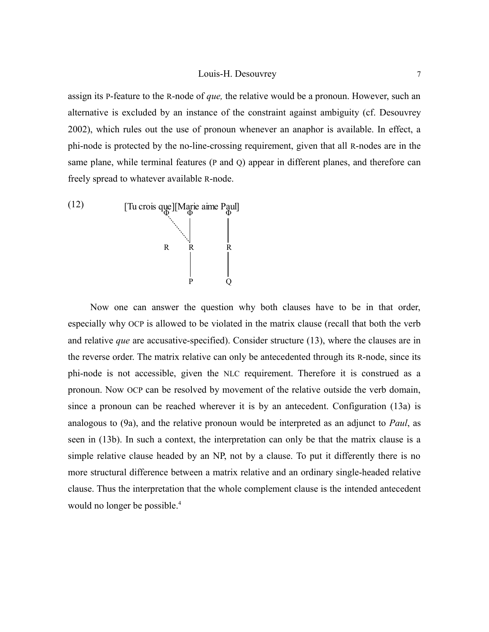assign its P-feature to the R-node of *que,* the relative would be a pronoun. However, such an alternative is excluded by an instance of the constraint against ambiguity (cf. Desouvrey 2002), which rules out the use of pronoun whenever an anaphor is available. In effect, a phi-node is protected by the no-line-crossing requirement, given that all R-nodes are in the same plane, while terminal features (P and Q) appear in different planes, and therefore can freely spread to whatever available R-node.



Now one can answer the question why both clauses have to be in that order, especially why OCP is allowed to be violated in the matrix clause (recall that both the verb and relative *que* are accusative-specified). Consider structure (13), where the clauses are in the reverse order. The matrix relative can only be antecedented through its R-node, since its phi-node is not accessible, given the NLC requirement. Therefore it is construed as a pronoun. Now OCP can be resolved by movement of the relative outside the verb domain, since a pronoun can be reached wherever it is by an antecedent. Configuration (13a) is analogous to (9a), and the relative pronoun would be interpreted as an adjunct to *Paul*, as seen in (13b). In such a context, the interpretation can only be that the matrix clause is a simple relative clause headed by an NP, not by a clause. To put it differently there is no more structural difference between a matrix relative and an ordinary single-headed relative clause. Thus the interpretation that the whole complement clause is the intended antecedent would no longer be possible.<sup>[4](#page-47-3)</sup>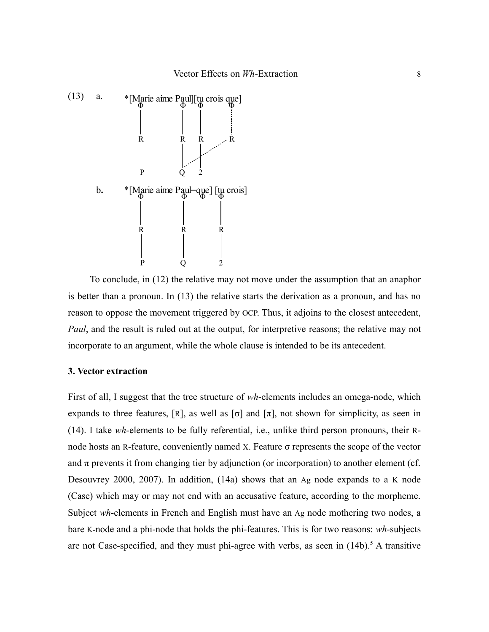

To conclude, in (12) the relative may not move under the assumption that an anaphor is better than a pronoun. In (13) the relative starts the derivation as a pronoun, and has no reason to oppose the movement triggered by OCP. Thus, it adjoins to the closest antecedent, *Paul*, and the result is ruled out at the output, for interpretive reasons; the relative may not incorporate to an argument, while the whole clause is intended to be its antecedent.

## **3. Vector extraction**

First of all, I suggest that the tree structure of *wh*-elements includes an omega-node, which expands to three features, [R], as well as  $[\sigma]$  and  $[\pi]$ , not shown for simplicity, as seen in (14). I take *wh-*elements to be fully referential, i.e., unlike third person pronouns, their Rnode hosts an R-feature, conveniently named X. Feature σ represents the scope of the vector and  $\pi$  prevents it from changing tier by adjunction (or incorporation) to another element (cf. Desouvrey 2000, 2007). In addition, (14a) shows that an Ag node expands to a K node (Case) which may or may not end with an accusative feature, according to the morpheme. Subject *wh*-elements in French and English must have an Ag node mothering two nodes, a bare K-node and a phi-node that holds the phi-features. This is for two reasons: *wh-*subjects are not Case-specified, and they must phi-agree with verbs, as seen in  $(14b)$ .<sup>[5](#page-47-4)</sup> A transitive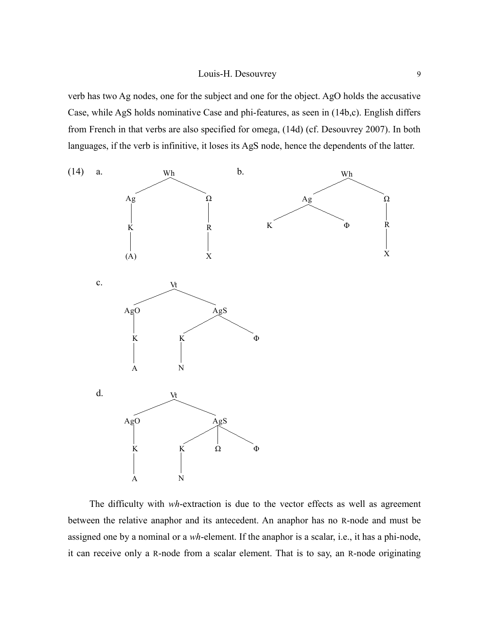verb has two Ag nodes, one for the subject and one for the object. AgO holds the accusative Case, while AgS holds nominative Case and phi-features, as seen in (14b,c). English differs from French in that verbs are also specified for omega, (14d) (cf. Desouvrey 2007). In both languages, if the verb is infinitive, it loses its AgS node, hence the dependents of the latter.



The difficulty with *wh*-extraction is due to the vector effects as well as agreement between the relative anaphor and its antecedent. An anaphor has no R-node and must be assigned one by a nominal or a *wh*-element. If the anaphor is a scalar, i.e., it has a phi-node, it can receive only a R-node from a scalar element. That is to say, an R-node originating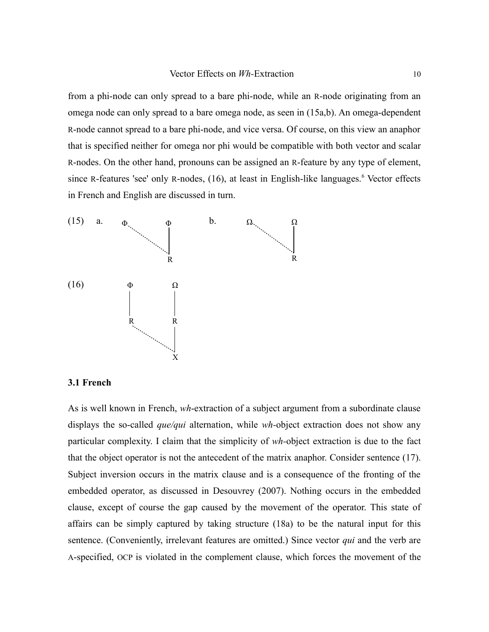from a phi-node can only spread to a bare phi-node, while an R-node originating from an omega node can only spread to a bare omega node, as seen in (15a,b). An omega-dependent R-node cannot spread to a bare phi-node, and vice versa. Of course, on this view an anaphor that is specified neither for omega nor phi would be compatible with both vector and scalar R-nodes. On the other hand, pronouns can be assigned an R-feature by any type of element, since R-features 'see' only R-nodes, (1[6](#page-47-5)), at least in English-like languages.<sup>6</sup> Vector effects in French and English are discussed in turn.



## **3.1 French**

As is well known in French, *wh*-extraction of a subject argument from a subordinate clause displays the so-called *que/qui* alternation, while *wh-*object extraction does not show any particular complexity. I claim that the simplicity of *wh-*object extraction is due to the fact that the object operator is not the antecedent of the matrix anaphor. Consider sentence (17). Subject inversion occurs in the matrix clause and is a consequence of the fronting of the embedded operator, as discussed in Desouvrey (2007). Nothing occurs in the embedded clause, except of course the gap caused by the movement of the operator. This state of affairs can be simply captured by taking structure (18a) to be the natural input for this sentence. (Conveniently, irrelevant features are omitted.) Since vector *qui* and the verb are A-specified, OCP is violated in the complement clause, which forces the movement of the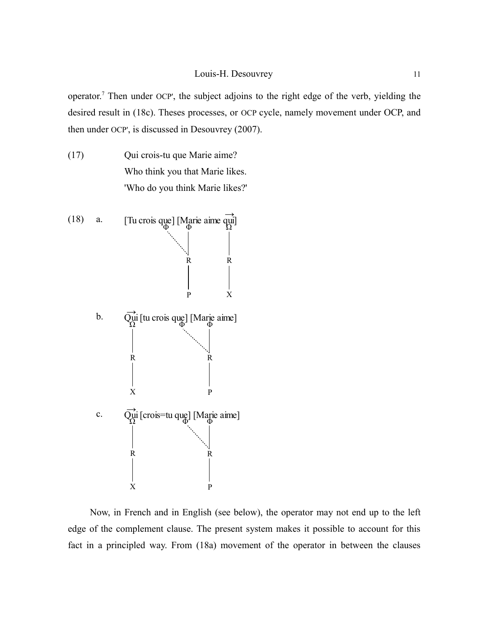operator.<sup>[7](#page-47-6)</sup> Then under OCP', the subject adjoins to the right edge of the verb, yielding the desired result in (18c). Theses processes, or OCP cycle, namely movement under OCP, and then under OCP', is discussed in Desouvrey (2007).

(17) Qui crois-tu que Marie aime? Who think you that Marie likes. 'Who do you think Marie likes?'



Now, in French and in English (see below), the operator may not end up to the left edge of the complement clause. The present system makes it possible to account for this fact in a principled way. From (18a) movement of the operator in between the clauses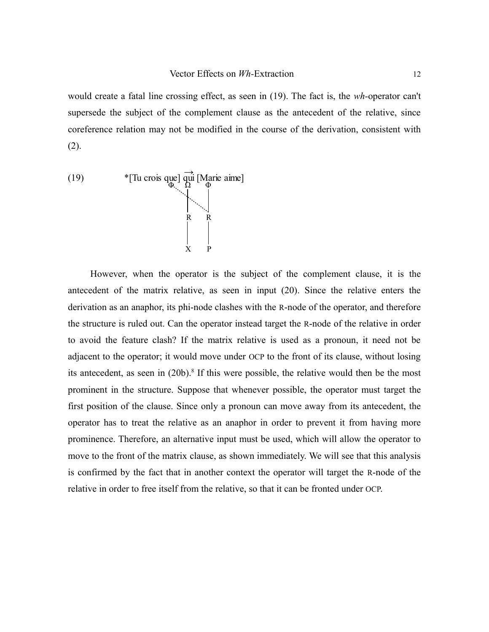would create a fatal line crossing effect, as seen in (19). The fact is, the *wh-*operator can't supersede the subject of the complement clause as the antecedent of the relative, since coreference relation may not be modified in the course of the derivation, consistent with (2).



However, when the operator is the subject of the complement clause, it is the antecedent of the matrix relative, as seen in input (20). Since the relative enters the derivation as an anaphor, its phi-node clashes with the R-node of the operator, and therefore the structure is ruled out. Can the operator instead target the R-node of the relative in order to avoid the feature clash? If the matrix relative is used as a pronoun, it need not be adjacent to the operator; it would move under OCP to the front of its clause, without losing its antecedent, as seen in  $(20b)$ .<sup>[8](#page-47-7)</sup> If this were possible, the relative would then be the most prominent in the structure. Suppose that whenever possible, the operator must target the first position of the clause. Since only a pronoun can move away from its antecedent, the operator has to treat the relative as an anaphor in order to prevent it from having more prominence. Therefore, an alternative input must be used, which will allow the operator to move to the front of the matrix clause, as shown immediately. We will see that this analysis is confirmed by the fact that in another context the operator will target the R-node of the relative in order to free itself from the relative, so that it can be fronted under OCP.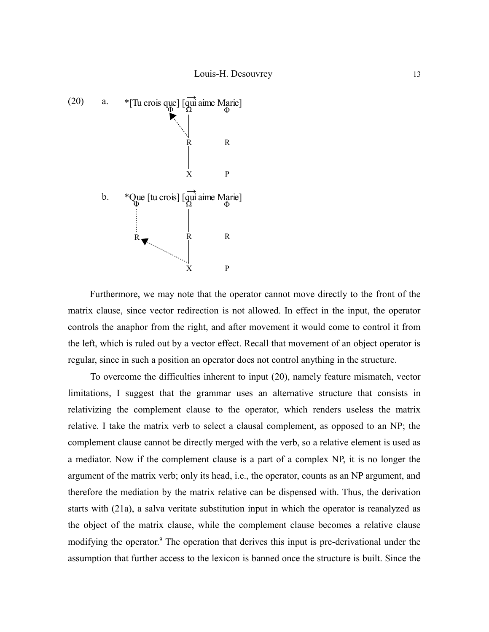

Furthermore, we may note that the operator cannot move directly to the front of the matrix clause, since vector redirection is not allowed. In effect in the input, the operator controls the anaphor from the right, and after movement it would come to control it from the left, which is ruled out by a vector effect. Recall that movement of an object operator is regular, since in such a position an operator does not control anything in the structure.

To overcome the difficulties inherent to input (20), namely feature mismatch, vector limitations, I suggest that the grammar uses an alternative structure that consists in relativizing the complement clause to the operator, which renders useless the matrix relative. I take the matrix verb to select a clausal complement, as opposed to an NP; the complement clause cannot be directly merged with the verb, so a relative element is used as a mediator. Now if the complement clause is a part of a complex NP, it is no longer the argument of the matrix verb; only its head, i.e., the operator, counts as an NP argument, and therefore the mediation by the matrix relative can be dispensed with. Thus, the derivation starts with (21a), a salva veritate substitution input in which the operator is reanalyzed as the object of the matrix clause, while the complement clause becomes a relative clause modifying the operator.<sup>[9](#page-47-8)</sup> The operation that derives this input is pre-derivational under the assumption that further access to the lexicon is banned once the structure is built. Since the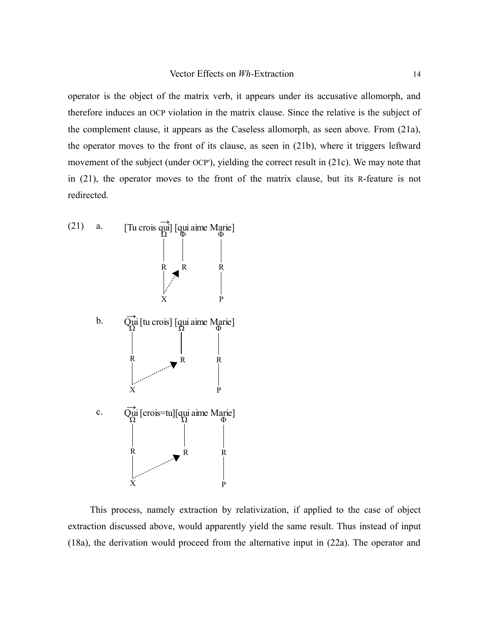operator is the object of the matrix verb, it appears under its accusative allomorph, and therefore induces an OCP violation in the matrix clause. Since the relative is the subject of the complement clause, it appears as the Caseless allomorph, as seen above. From (21a), the operator moves to the front of its clause, as seen in (21b), where it triggers leftward movement of the subject (under OCP'), yielding the correct result in (21c). We may note that in (21), the operator moves to the front of the matrix clause, but its R-feature is not redirected.



This process, namely extraction by relativization, if applied to the case of object extraction discussed above, would apparently yield the same result. Thus instead of input (18a), the derivation would proceed from the alternative input in (22a). The operator and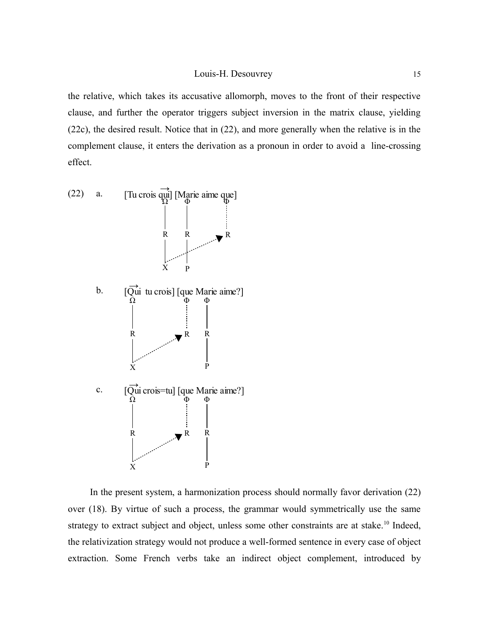the relative, which takes its accusative allomorph, moves to the front of their respective clause, and further the operator triggers subject inversion in the matrix clause, yielding (22c), the desired result. Notice that in (22), and more generally when the relative is in the complement clause, it enters the derivation as a pronoun in order to avoid a line-crossing effect.



In the present system, a harmonization process should normally favor derivation (22) over (18). By virtue of such a process, the grammar would symmetrically use the same strategy to extract subject and object, unless some other constraints are at stake.<sup>[10](#page-47-9)</sup> Indeed, the relativization strategy would not produce a well-formed sentence in every case of object extraction. Some French verbs take an indirect object complement, introduced by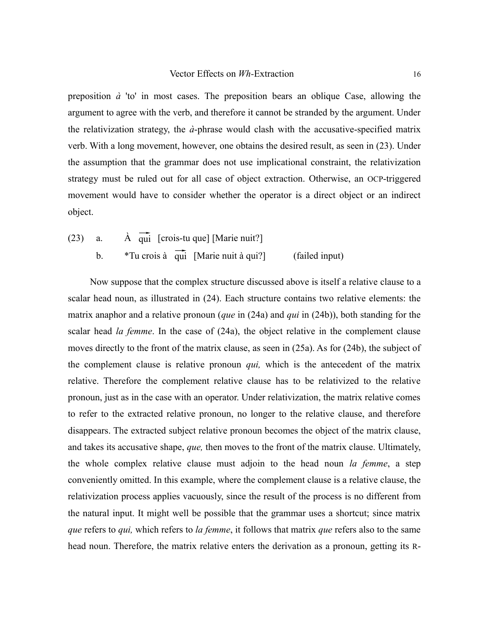preposition *à* 'to' in most cases. The preposition bears an oblique Case, allowing the argument to agree with the verb, and therefore it cannot be stranded by the argument. Under the relativization strategy, the  $\dot{a}$ -phrase would clash with the accusative-specified matrix verb. With a long movement, however, one obtains the desired result, as seen in (23). Under the assumption that the grammar does not use implicational constraint, the relativization strategy must be ruled out for all case of object extraction. Otherwise, an OCP-triggered movement would have to consider whether the operator is a direct object or an indirect object.

(23) a.  $\overrightarrow{A}$  qui [crois-tu que] [Marie nuit?] b.  $*$ Tu crois à  $\overrightarrow{qui}$  [Marie nuit à qui?] (failed input)

Now suppose that the complex structure discussed above is itself a relative clause to a scalar head noun, as illustrated in (24). Each structure contains two relative elements: the matrix anaphor and a relative pronoun (*que* in (24a) and *qui* in (24b)), both standing for the scalar head *la femme*. In the case of (24a), the object relative in the complement clause moves directly to the front of the matrix clause, as seen in (25a). As for (24b), the subject of the complement clause is relative pronoun *qui,* which is the antecedent of the matrix relative. Therefore the complement relative clause has to be relativized to the relative pronoun, just as in the case with an operator. Under relativization, the matrix relative comes to refer to the extracted relative pronoun, no longer to the relative clause, and therefore disappears. The extracted subject relative pronoun becomes the object of the matrix clause, and takes its accusative shape, *que,* then moves to the front of the matrix clause. Ultimately, the whole complex relative clause must adjoin to the head noun *la femme*, a step conveniently omitted. In this example, where the complement clause is a relative clause, the relativization process applies vacuously, since the result of the process is no different from the natural input. It might well be possible that the grammar uses a shortcut; since matrix *que* refers to *qui,* which refers to *la femme*, it follows that matrix *que* refers also to the same head noun. Therefore, the matrix relative enters the derivation as a pronoun, getting its R-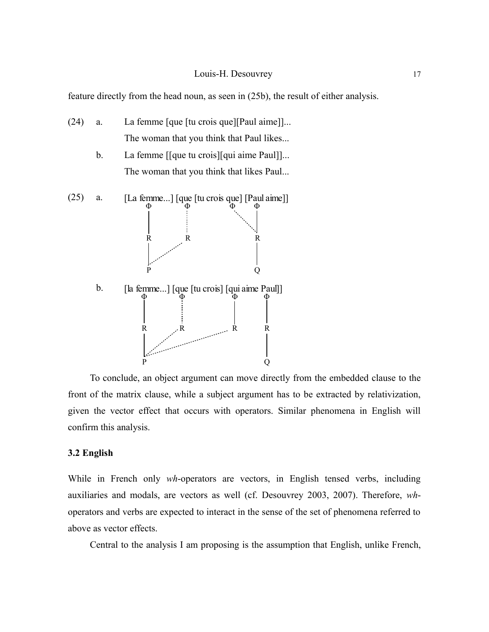feature directly from the head noun, as seen in (25b), the result of either analysis.

- (24) a. La femme [que [tu crois que][Paul aime]]... The woman that you think that Paul likes...
	- b. La femme [[que tu crois][qui aime Paul]]... The woman that you think that likes Paul...



To conclude, an object argument can move directly from the embedded clause to the front of the matrix clause, while a subject argument has to be extracted by relativization, given the vector effect that occurs with operators. Similar phenomena in English will confirm this analysis.

## **3.2 English**

While in French only *wh*-operators are vectors, in English tensed verbs, including auxiliaries and modals, are vectors as well (cf. Desouvrey 2003, 2007). Therefore, *wh*operators and verbs are expected to interact in the sense of the set of phenomena referred to above as vector effects.

Central to the analysis I am proposing is the assumption that English, unlike French,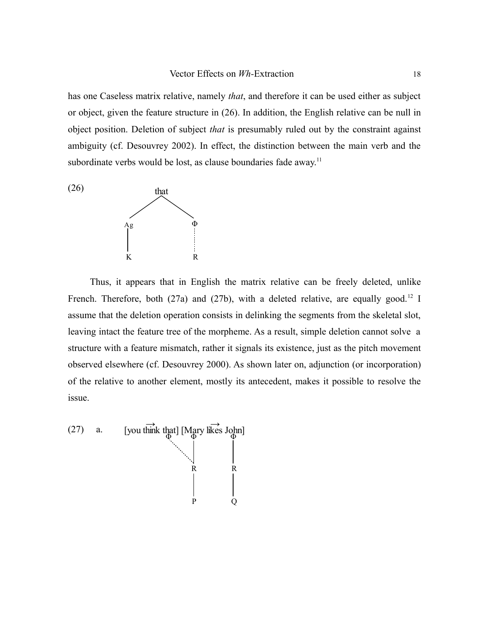has one Caseless matrix relative, namely *that*, and therefore it can be used either as subject or object, given the feature structure in (26). In addition, the English relative can be null in object position. Deletion of subject *that* is presumably ruled out by the constraint against ambiguity (cf. Desouvrey 2002). In effect, the distinction between the main verb and the subordinate verbs would be lost, as clause boundaries fade away.<sup>[11](#page-47-10)</sup>



Thus, it appears that in English the matrix relative can be freely deleted, unlike French. Therefore, both (27a) and (27b), with a deleted relative, are equally good.<sup>[12](#page-48-0)</sup> I assume that the deletion operation consists in delinking the segments from the skeletal slot, leaving intact the feature tree of the morpheme. As a result, simple deletion cannot solve a structure with a feature mismatch, rather it signals its existence, just as the pitch movement observed elsewhere (cf. Desouvrey 2000). As shown later on, adjunction (or incorporation) of the relative to another element, mostly its antecedent, makes it possible to resolve the issue.

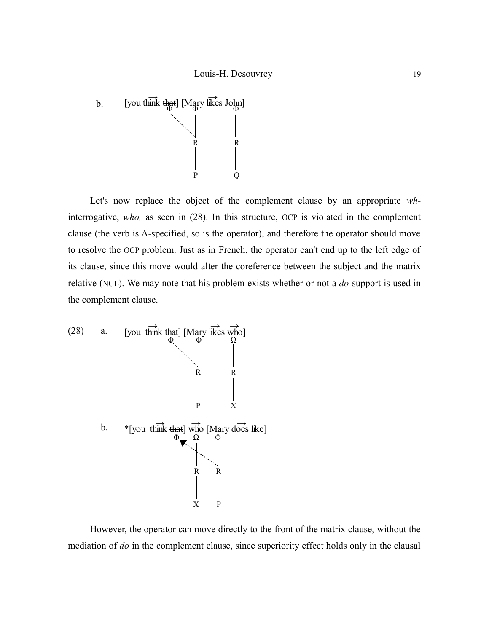

Let's now replace the object of the complement clause by an appropriate *wh*interrogative, *who,* as seen in (28). In this structure, OCP is violated in the complement clause (the verb is A-specified, so is the operator), and therefore the operator should move to resolve the OCP problem. Just as in French, the operator can't end up to the left edge of its clause, since this move would alter the coreference between the subject and the matrix relative (NCL). We may note that his problem exists whether or not a *do-*support is used in the complement clause.



However, the operator can move directly to the front of the matrix clause, without the mediation of *do* in the complement clause, since superiority effect holds only in the clausal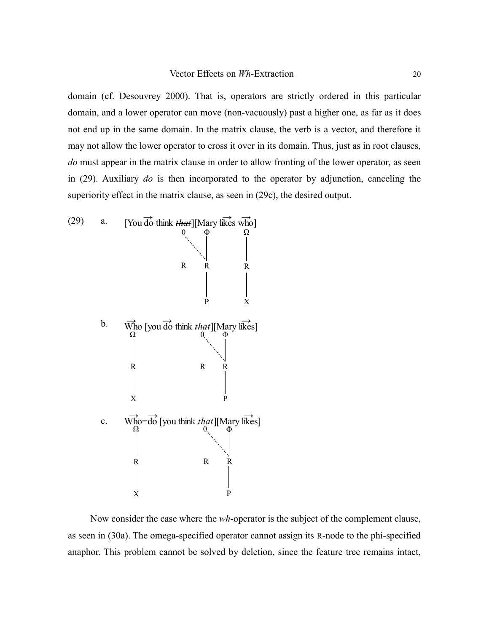domain (cf. Desouvrey 2000). That is, operators are strictly ordered in this particular domain, and a lower operator can move (non-vacuously) past a higher one, as far as it does not end up in the same domain. In the matrix clause, the verb is a vector, and therefore it may not allow the lower operator to cross it over in its domain. Thus, just as in root clauses, *do* must appear in the matrix clause in order to allow fronting of the lower operator, as seen in (29). Auxiliary *do* is then incorporated to the operator by adjunction, canceling the superiority effect in the matrix clause, as seen in (29c), the desired output.



Now consider the case where the *wh*-operator is the subject of the complement clause, as seen in (30a). The omega-specified operator cannot assign its R-node to the phi-specified anaphor. This problem cannot be solved by deletion, since the feature tree remains intact,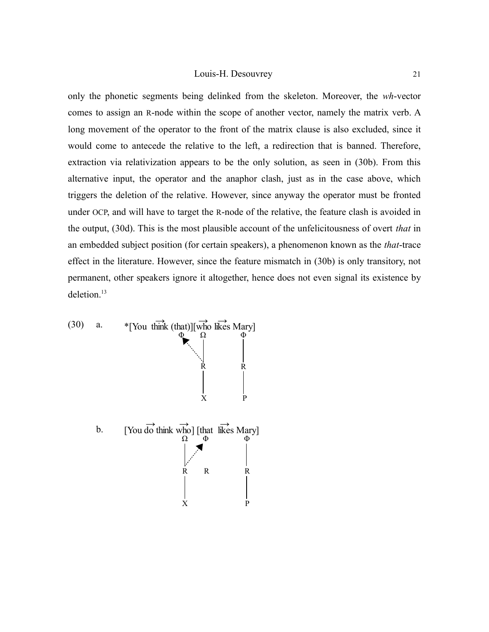only the phonetic segments being delinked from the skeleton. Moreover, the *wh*-vector comes to assign an R-node within the scope of another vector, namely the matrix verb. A long movement of the operator to the front of the matrix clause is also excluded, since it would come to antecede the relative to the left, a redirection that is banned. Therefore, extraction via relativization appears to be the only solution, as seen in (30b). From this alternative input, the operator and the anaphor clash, just as in the case above, which triggers the deletion of the relative. However, since anyway the operator must be fronted under OCP, and will have to target the R-node of the relative, the feature clash is avoided in the output, (30d). This is the most plausible account of the unfelicitousness of overt *that* in an embedded subject position (for certain speakers), a phenomenon known as the *that*-trace effect in the literature. However, since the feature mismatch in (30b) is only transitory, not permanent, other speakers ignore it altogether, hence does not even signal its existence by deletion.<sup>[13](#page-48-1)</sup>

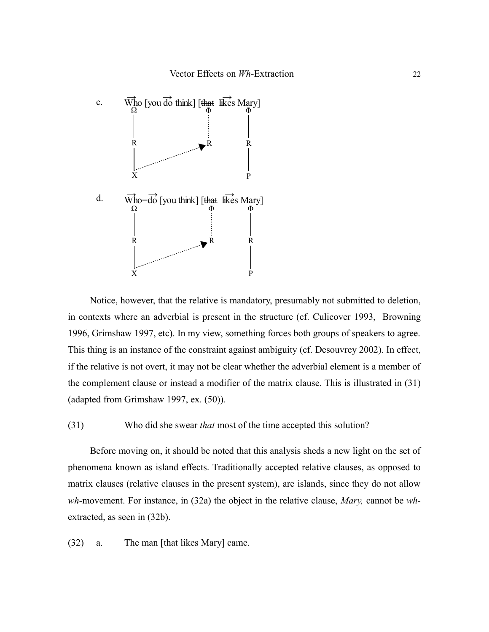

Notice, however, that the relative is mandatory, presumably not submitted to deletion, in contexts where an adverbial is present in the structure (cf. Culicover 1993, Browning 1996, Grimshaw 1997, etc). In my view, something forces both groups of speakers to agree. This thing is an instance of the constraint against ambiguity (cf. Desouvrey 2002). In effect, if the relative is not overt, it may not be clear whether the adverbial element is a member of the complement clause or instead a modifier of the matrix clause. This is illustrated in (31) (adapted from Grimshaw 1997, ex. (50)).

(31) Who did she swear *that* most of the time accepted this solution?

Before moving on, it should be noted that this analysis sheds a new light on the set of phenomena known as island effects. Traditionally accepted relative clauses, as opposed to matrix clauses (relative clauses in the present system), are islands, since they do not allow *wh*-movement. For instance, in (32a) the object in the relative clause, *Mary,* cannot be *wh*extracted, as seen in (32b).

(32) a. The man [that likes Mary] came.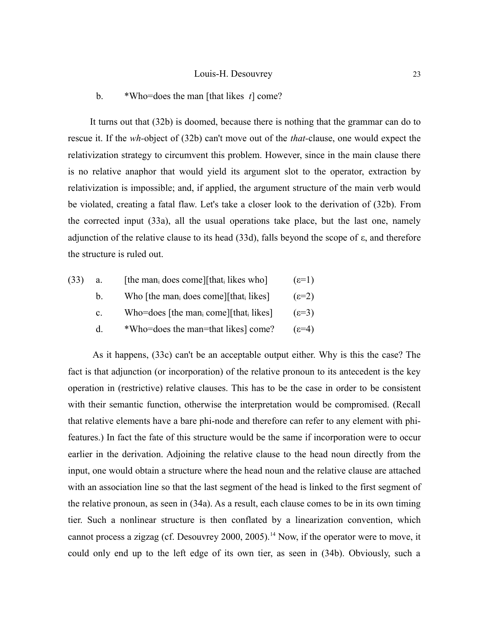## b. \*Who=does the man [that likes *t*] come?

It turns out that (32b) is doomed, because there is nothing that the grammar can do to rescue it. If the *wh-*object of (32b) can't move out of the *that-*clause, one would expect the relativization strategy to circumvent this problem. However, since in the main clause there is no relative anaphor that would yield its argument slot to the operator, extraction by relativization is impossible; and, if applied, the argument structure of the main verb would be violated, creating a fatal flaw. Let's take a closer look to the derivation of (32b). From the corrected input (33a), all the usual operations take place, but the last one, namely adjunction of the relative clause to its head (33d), falls beyond the scope of  $\varepsilon$ , and therefore the structure is ruled out.

| (33) | a.           | [the man <sub>i</sub> does come][that <sub>i</sub> likes who] | $(\epsilon=1)$ |
|------|--------------|---------------------------------------------------------------|----------------|
|      | $b_{-}$      | Who [the man <sub>i</sub> does come][that <sub>i</sub> likes] | $(\epsilon=2)$ |
|      | $c_{\cdot}$  | Who=does [the man <sub>i</sub> come][that <sub>i</sub> likes] | $(\epsilon=3)$ |
|      | <sub>d</sub> | *Who=does the man=that likes] come?                           | $(5=4)$        |

 As it happens, (33c) can't be an acceptable output either. Why is this the case? The fact is that adjunction (or incorporation) of the relative pronoun to its antecedent is the key operation in (restrictive) relative clauses. This has to be the case in order to be consistent with their semantic function, otherwise the interpretation would be compromised. (Recall that relative elements have a bare phi-node and therefore can refer to any element with phifeatures.) In fact the fate of this structure would be the same if incorporation were to occur earlier in the derivation. Adjoining the relative clause to the head noun directly from the input, one would obtain a structure where the head noun and the relative clause are attached with an association line so that the last segment of the head is linked to the first segment of the relative pronoun, as seen in (34a). As a result, each clause comes to be in its own timing tier. Such a nonlinear structure is then conflated by a linearization convention, which cannot process a zigzag (cf. Desouvrey 2000, 2005).[14](#page-48-2) Now, if the operator were to move, it could only end up to the left edge of its own tier, as seen in (34b). Obviously, such a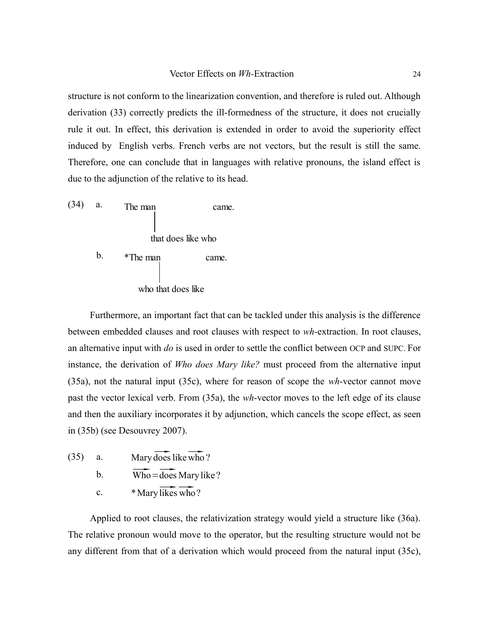structure is not conform to the linearization convention, and therefore is ruled out. Although derivation (33) correctly predicts the ill-formedness of the structure, it does not crucially rule it out. In effect, this derivation is extended in order to avoid the superiority effect induced by English verbs. French verbs are not vectors, but the result is still the same. Therefore, one can conclude that in languages with relative pronouns, the island effect is due to the adjunction of the relative to its head.



Furthermore, an important fact that can be tackled under this analysis is the difference between embedded clauses and root clauses with respect to *wh-*extraction. In root clauses, an alternative input with *do* is used in order to settle the conflict between OCP and SUPC. For instance, the derivation of *Who does Mary like?* must proceed from the alternative input (35a), not the natural input (35c), where for reason of scope the *wh*-vector cannot move past the vector lexical verb. From (35a), the *wh*-vector moves to the left edge of its clause and then the auxiliary incorporates it by adjunction, which cancels the scope effect, as seen in (35b) (see Desouvrey 2007).

- $(35)$  a. Mary does like who ?
	- b.  $\overline{\text{Who}} = \overline{\text{does}}$  Mary like ?
	- c.  $*$  Mary likes who?

Applied to root clauses, the relativization strategy would yield a structure like (36a). The relative pronoun would move to the operator, but the resulting structure would not be any different from that of a derivation which would proceed from the natural input (35c),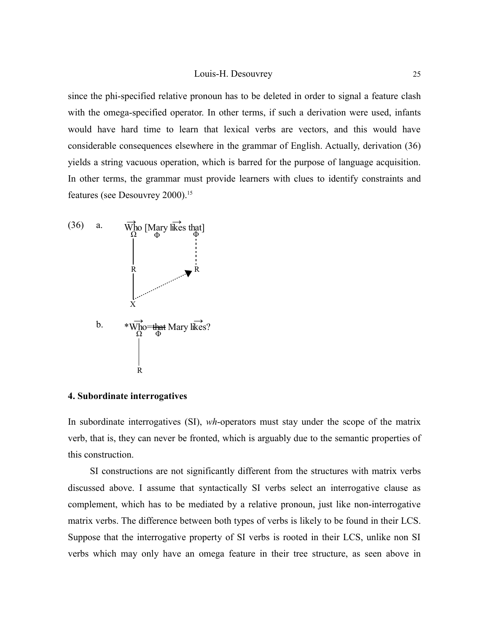since the phi-specified relative pronoun has to be deleted in order to signal a feature clash with the omega-specified operator. In other terms, if such a derivation were used, infants would have hard time to learn that lexical verbs are vectors, and this would have considerable consequences elsewhere in the grammar of English. Actually, derivation (36) yields a string vacuous operation, which is barred for the purpose of language acquisition. In other terms, the grammar must provide learners with clues to identify constraints and features (see Desouvrey 2000).<sup>[15](#page-48-3)</sup>



## **4. Subordinate interrogatives**

In subordinate interrogatives (SI), *wh*-operators must stay under the scope of the matrix verb, that is, they can never be fronted, which is arguably due to the semantic properties of this construction.

SI constructions are not significantly different from the structures with matrix verbs discussed above. I assume that syntactically SI verbs select an interrogative clause as complement, which has to be mediated by a relative pronoun, just like non-interrogative matrix verbs. The difference between both types of verbs is likely to be found in their LCS. Suppose that the interrogative property of SI verbs is rooted in their LCS, unlike non SI verbs which may only have an omega feature in their tree structure, as seen above in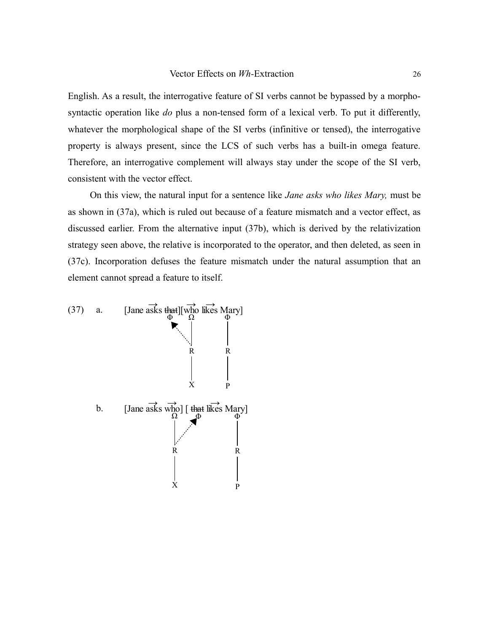English. As a result, the interrogative feature of SI verbs cannot be bypassed by a morphosyntactic operation like *do* plus a non-tensed form of a lexical verb. To put it differently, whatever the morphological shape of the SI verbs (infinitive or tensed), the interrogative property is always present, since the LCS of such verbs has a built-in omega feature. Therefore, an interrogative complement will always stay under the scope of the SI verb, consistent with the vector effect.

On this view, the natural input for a sentence like *Jane asks who likes Mary,* must be as shown in (37a), which is ruled out because of a feature mismatch and a vector effect, as discussed earlier. From the alternative input (37b), which is derived by the relativization strategy seen above, the relative is incorporated to the operator, and then deleted, as seen in (37c). Incorporation defuses the feature mismatch under the natural assumption that an element cannot spread a feature to itself.

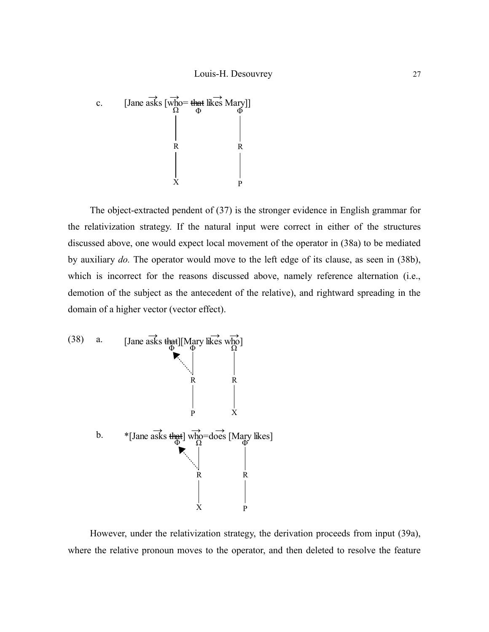

The object-extracted pendent of (37) is the stronger evidence in English grammar for the relativization strategy. If the natural input were correct in either of the structures discussed above, one would expect local movement of the operator in (38a) to be mediated by auxiliary *do.* The operator would move to the left edge of its clause, as seen in (38b), which is incorrect for the reasons discussed above, namely reference alternation (i.e., demotion of the subject as the antecedent of the relative), and rightward spreading in the domain of a higher vector (vector effect).



However, under the relativization strategy, the derivation proceeds from input (39a), where the relative pronoun moves to the operator, and then deleted to resolve the feature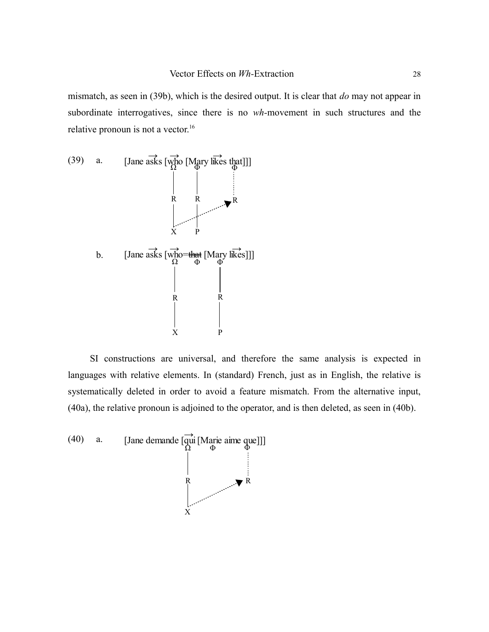mismatch, as seen in (39b), which is the desired output. It is clear that *do* may not appear in subordinate interrogatives, since there is no *wh-*movement in such structures and the relative pronoun is not a vector.<sup>[16](#page-48-4)</sup>



SI constructions are universal, and therefore the same analysis is expected in languages with relative elements. In (standard) French, just as in English, the relative is systematically deleted in order to avoid a feature mismatch. From the alternative input, (40a), the relative pronoun is adjoined to the operator, and is then deleted, as seen in (40b).

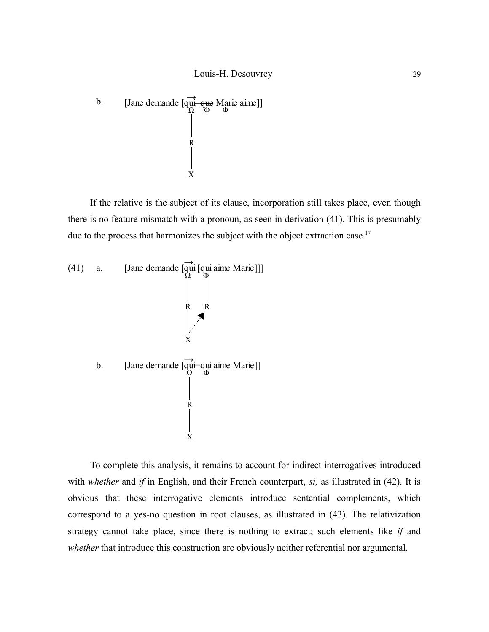

If the relative is the subject of its clause, incorporation still takes place, even though there is no feature mismatch with a pronoun, as seen in derivation (41). This is presumably due to the process that harmonizes the subject with the object extraction case.<sup>[17](#page-48-5)</sup>



To complete this analysis, it remains to account for indirect interrogatives introduced with *whether* and *if* in English, and their French counterpart, *si*, as illustrated in (42). It is obvious that these interrogative elements introduce sentential complements, which correspond to a yes-no question in root clauses, as illustrated in (43). The relativization strategy cannot take place, since there is nothing to extract; such elements like *if* and *whether* that introduce this construction are obviously neither referential nor argumental.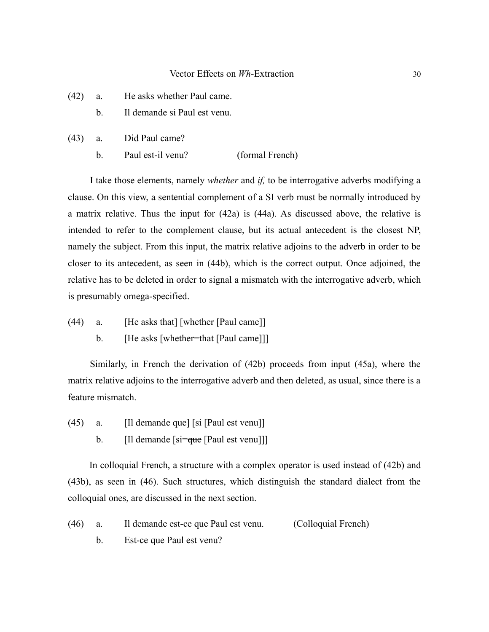- (42) a. He asks whether Paul came.
	- b. Il demande si Paul est venu.
- (43) a. Did Paul came?
	- b. Paul est-il venu? (formal French)

I take those elements, namely *whether* and *if,* to be interrogative adverbs modifying a clause. On this view, a sentential complement of a SI verb must be normally introduced by a matrix relative. Thus the input for (42a) is (44a). As discussed above, the relative is intended to refer to the complement clause, but its actual antecedent is the closest NP, namely the subject. From this input, the matrix relative adjoins to the adverb in order to be closer to its antecedent, as seen in (44b), which is the correct output. Once adjoined, the relative has to be deleted in order to signal a mismatch with the interrogative adverb, which is presumably omega-specified.

- (44) a. [He asks that] [whether [Paul came]]
	- b. [He asks [whether=that [Paul came]]]

Similarly, in French the derivation of (42b) proceeds from input (45a), where the matrix relative adjoins to the interrogative adverb and then deleted, as usual, since there is a feature mismatch.

(45) a. [Il demande que] [si [Paul est venu]] b. [Il demande [si=que [Paul est venu]]]

In colloquial French, a structure with a complex operator is used instead of (42b) and (43b), as seen in (46). Such structures, which distinguish the standard dialect from the colloquial ones, are discussed in the next section.

(46) a. Il demande est-ce que Paul est venu. (Colloquial French)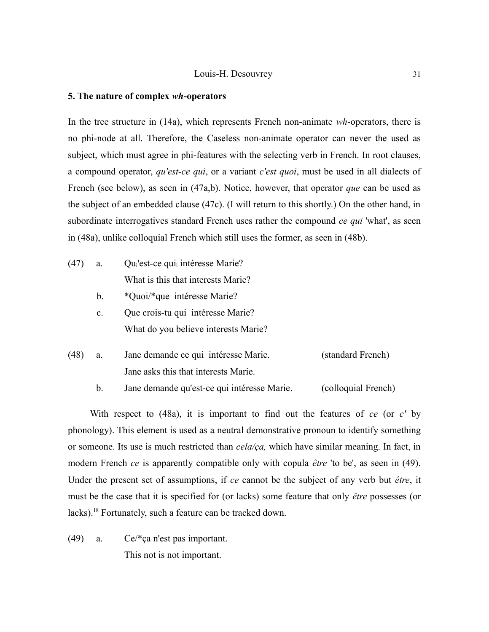## **5. The nature of complex** *wh***-operators**

In the tree structure in (14a), which represents French non-animate *wh*-operators, there is no phi-node at all. Therefore, the Caseless non-animate operator can never the used as subject, which must agree in phi-features with the selecting verb in French. In root clauses, a compound operator, *qu'est-ce qui*, or a variant *c'est quoi*, must be used in all dialects of French (see below), as seen in (47a,b). Notice, however, that operator *que* can be used as the subject of an embedded clause (47c). (I will return to this shortly.) On the other hand, in subordinate interrogatives standard French uses rather the compound *ce qui* 'what', as seen in (48a), unlike colloquial French which still uses the former, as seen in (48b).

- $(47)$  a. Qu<sub>i</sub>'est-ce qui<sub>i</sub> intéresse Marie? What is this that interests Marie?
	- b. \*Quoi/\*que intéresse Marie?
	- c. Que crois-tu qui intéresse Marie? What do you believe interests Marie?
- (48) a. Jane demande ce qui intéresse Marie. (standard French) Jane asks this that interests Marie.
	- b. Jane demande qu'est-ce qui intéresse Marie. (colloquial French)

With respect to (48a), it is important to find out the features of *ce* (or *c'* by phonology). This element is used as a neutral demonstrative pronoun to identify something or someone. Its use is much restricted than *cela/ça,* which have similar meaning. In fact, in modern French *ce* is apparently compatible only with copula *être* 'to be', as seen in (49). Under the present set of assumptions, if *ce* cannot be the subject of any verb but *être*, it must be the case that it is specified for (or lacks) some feature that only *être* possesses (or lacks).[18](#page-49-0) Fortunately, such a feature can be tracked down.

(49) a. Ce/\*ça n'est pas important. This not is not important.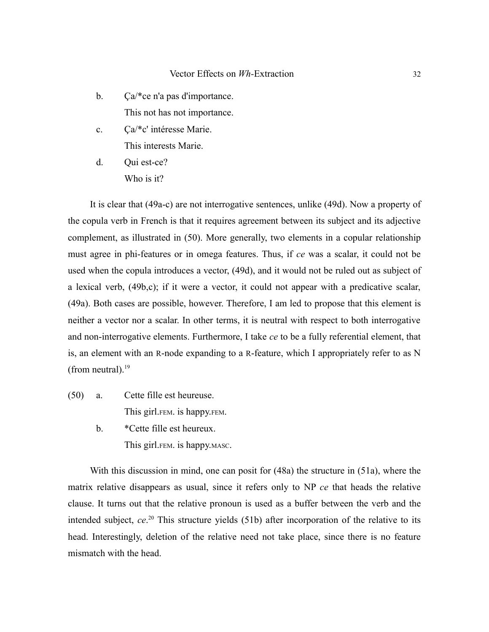- b. Ça/\*ce n'a pas d'importance. This not has not importance.
- c. Ça/\*c' intéresse Marie. This interests Marie.
- d. Oui est-ce? Who is it?

It is clear that (49a-c) are not interrogative sentences, unlike (49d). Now a property of the copula verb in French is that it requires agreement between its subject and its adjective complement, as illustrated in (50). More generally, two elements in a copular relationship must agree in phi-features or in omega features. Thus, if *ce* was a scalar, it could not be used when the copula introduces a vector, (49d), and it would not be ruled out as subject of a lexical verb, (49b,c); if it were a vector, it could not appear with a predicative scalar, (49a). Both cases are possible, however. Therefore, I am led to propose that this element is neither a vector nor a scalar. In other terms, it is neutral with respect to both interrogative and non-interrogative elements. Furthermore, I take *ce* to be a fully referential element, that is, an element with an R-node expanding to a R-feature, which I appropriately refer to as N (from neutral). $19$ 

- (50) a. Cette fille est heureuse. This girl.FEM. is happy.FEM.
	- b. \*Cette fille est heureux. This girl.FEM. is happy.MASC.

With this discussion in mind, one can posit for (48a) the structure in (51a), where the matrix relative disappears as usual, since it refers only to NP *ce* that heads the relative clause. It turns out that the relative pronoun is used as a buffer between the verb and the intended subject, *ce*. [20](#page-49-2) This structure yields (51b) after incorporation of the relative to its head. Interestingly, deletion of the relative need not take place, since there is no feature mismatch with the head.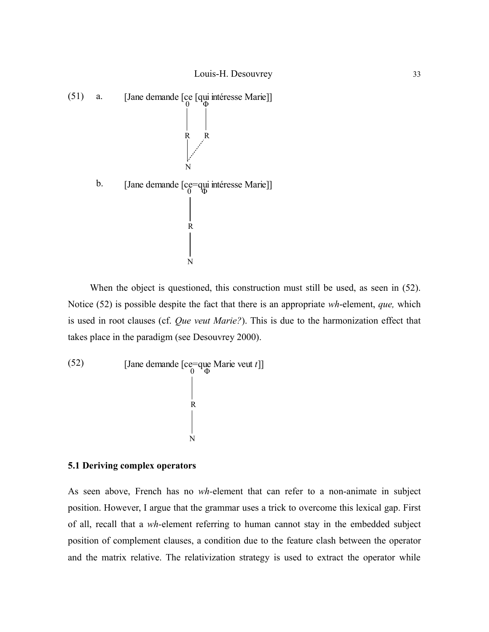

When the object is questioned, this construction must still be used, as seen in (52). Notice (52) is possible despite the fact that there is an appropriate *wh*-element, *que,* which is used in root clauses (cf. *Que veut Marie?*). This is due to the harmonization effect that takes place in the paradigm (see Desouvrey 2000).

(52) [Jane demande [ce=que Marie veut *t*]]  
\n
$$
\begin{array}{c|c}\n & & \\
 R & & \\
 & & \\
 R & & \\
 & & \\
 N\n \end{array}
$$

## **5.1 Deriving complex operators**

As seen above, French has no *wh-*element that can refer to a non-animate in subject position. However, I argue that the grammar uses a trick to overcome this lexical gap. First of all, recall that a *wh-*element referring to human cannot stay in the embedded subject position of complement clauses, a condition due to the feature clash between the operator and the matrix relative. The relativization strategy is used to extract the operator while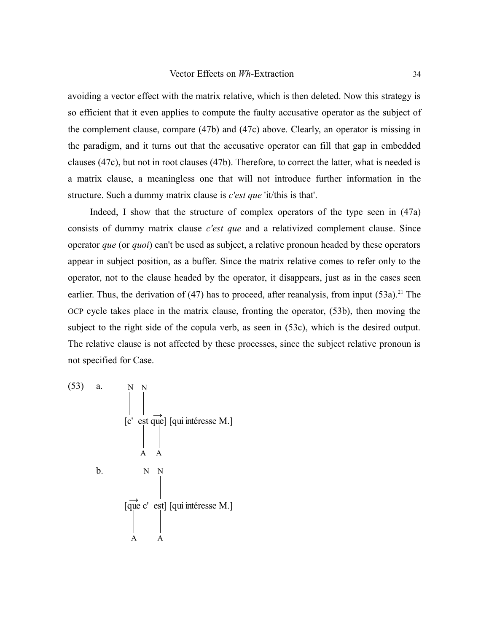avoiding a vector effect with the matrix relative, which is then deleted. Now this strategy is so efficient that it even applies to compute the faulty accusative operator as the subject of the complement clause, compare (47b) and (47c) above. Clearly, an operator is missing in the paradigm, and it turns out that the accusative operator can fill that gap in embedded clauses (47c), but not in root clauses (47b). Therefore, to correct the latter, what is needed is a matrix clause, a meaningless one that will not introduce further information in the structure. Such a dummy matrix clause is *c'est que* 'it/this is that'.

Indeed, I show that the structure of complex operators of the type seen in (47a) consists of dummy matrix clause *c'est que* and a relativized complement clause. Since operator *que* (or *quoi*) can't be used as subject, a relative pronoun headed by these operators appear in subject position, as a buffer. Since the matrix relative comes to refer only to the operator, not to the clause headed by the operator, it disappears, just as in the cases seen earlier. Thus, the derivation of  $(47)$  has to proceed, after reanalysis, from input  $(53a)$ .<sup>[21](#page-49-3)</sup> The OCP cycle takes place in the matrix clause, fronting the operator, (53b), then moving the subject to the right side of the copula verb, as seen in (53c), which is the desired output. The relative clause is not affected by these processes, since the subject relative pronoun is not specified for Case.

(53) a. 
$$
N N
$$
  
\n[ $c'$  est que] [qui intéresse M.]  
\nA A  
\nb.  $N N$   
\n[ $\overrightarrow{que} c'$  est] [qui intéresse M.]  
\nA A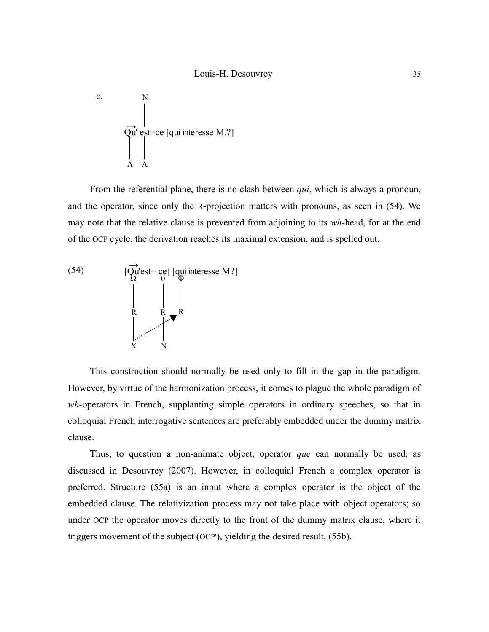c.  
\n
$$
\overrightarrow{Qu} \text{ est}=ce [qui intéresse M.?]
$$
\nA A

From the referential plane, there is no clash between *qui*, which is always a pronoun, and the operator, since only the R-projection matters with pronouns, as seen in (54). We may note that the relative clause is prevented from adjoining to its *wh-*head, for at the end of the OCP cycle, the derivation reaches its maximal extension, and is spelled out.



This construction should normally be used only to fill in the gap in the paradigm. However, by virtue of the harmonization process, it comes to plague the whole paradigm of *wh-*operators in French, supplanting simple operators in ordinary speeches, so that in colloquial French interrogative sentences are preferably embedded under the dummy matrix clause.

Thus, to question a non-animate object, operator *que* can normally be used, as discussed in Desouvrey (2007). However, in colloquial French a complex operator is preferred. Structure (55a) is an input where a complex operator is the object of the embedded clause. The relativization process may not take place with object operators; so under OCP the operator moves directly to the front of the dummy matrix clause, where it triggers movement of the subject (OCP'), yielding the desired result, (55b).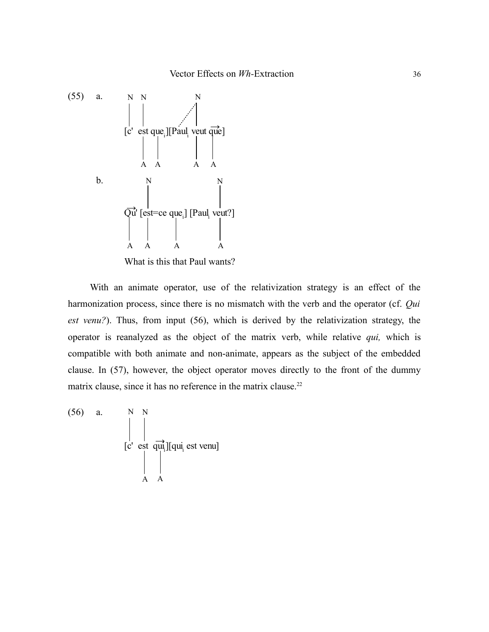

What is this that Paul wants?

With an animate operator, use of the relativization strategy is an effect of the harmonization process, since there is no mismatch with the verb and the operator (cf. *Qui est venu?*). Thus, from input (56), which is derived by the relativization strategy, the operator is reanalyzed as the object of the matrix verb, while relative *qui,* which is compatible with both animate and non-animate, appears as the subject of the embedded clause. In (57), however, the object operator moves directly to the front of the dummy matrix clause, since it has no reference in the matrix clause.<sup>[22](#page-49-4)</sup>

(56) a. 
$$
\begin{array}{c|c}\nN & N \\
\downarrow & \downarrow \\
\hline\n[c' & \text{est } \overrightarrow{qu_i}][qu_i \text{ est venu}]\n\end{array}
$$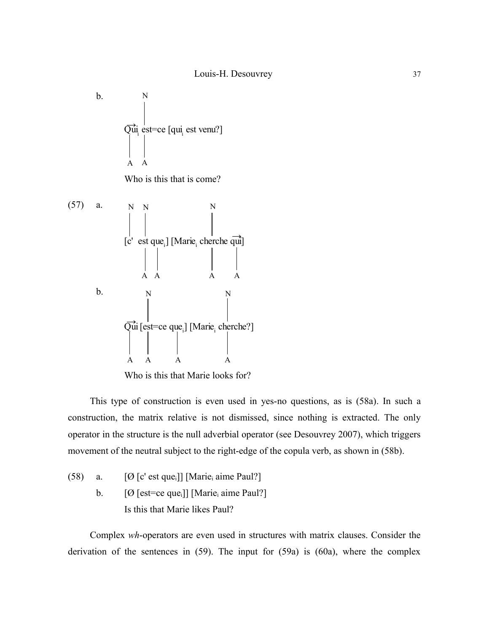

Who is this that Marie looks for?

This type of construction is even used in yes-no questions, as is (58a). In such a construction, the matrix relative is not dismissed, since nothing is extracted. The only operator in the structure is the null adverbial operator (see Desouvrey 2007), which triggers movement of the neutral subject to the right-edge of the copula verb, as shown in (58b).

(58) a. 
$$
[\emptyset \text{ [c' est que_i]}]
$$
 [Marie<sub>i</sub> aime Paul?] \nb.  $[\emptyset \text{ [est=ce que_i]}]$  [Marie<sub>i</sub> aime Paul?] \nIs this that Marie likes Paul?

Complex *wh*-operators are even used in structures with matrix clauses. Consider the derivation of the sentences in (59). The input for (59a) is (60a), where the complex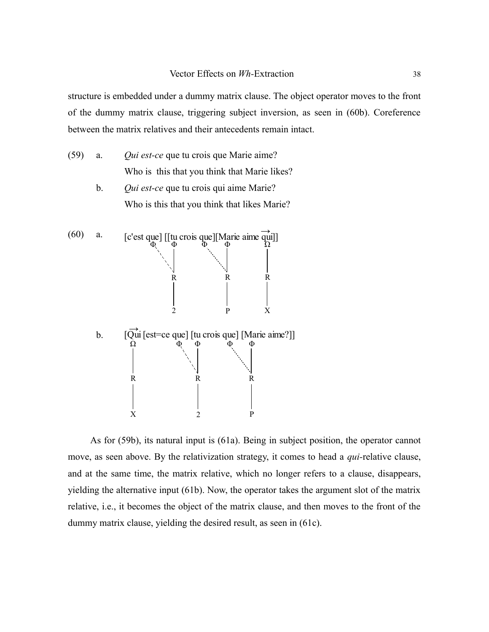structure is embedded under a dummy matrix clause. The object operator moves to the front of the dummy matrix clause, triggering subject inversion, as seen in (60b). Coreference between the matrix relatives and their antecedents remain intact.

- (59) a. *Qui est-ce* que tu crois que Marie aime? Who is this that you think that Marie likes?
	- b. *Qui est-ce* que tu crois qui aime Marie? Who is this that you think that likes Marie?



As for (59b), its natural input is (61a). Being in subject position, the operator cannot move, as seen above. By the relativization strategy, it comes to head a *qui-*relative clause, and at the same time, the matrix relative, which no longer refers to a clause, disappears, yielding the alternative input (61b). Now, the operator takes the argument slot of the matrix relative, i.e., it becomes the object of the matrix clause, and then moves to the front of the dummy matrix clause, yielding the desired result, as seen in (61c).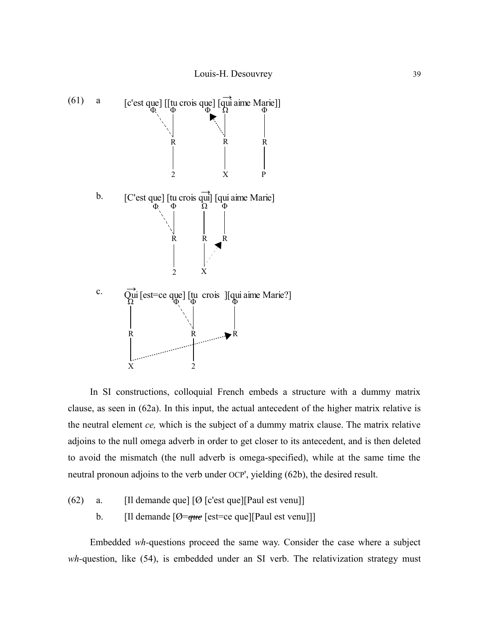

In SI constructions, colloquial French embeds a structure with a dummy matrix clause, as seen in (62a). In this input, the actual antecedent of the higher matrix relative is the neutral element *ce,* which is the subject of a dummy matrix clause. The matrix relative adjoins to the null omega adverb in order to get closer to its antecedent, and is then deleted to avoid the mismatch (the null adverb is omega-specified), while at the same time the neutral pronoun adjoins to the verb under OCP', yielding (62b), the desired result.

(62) a. [Il demande que]  $[Ø [c'est que] [Paul est venu]]$ b. [Il demande [Ø=*que* [est=ce que][Paul est venu]]]

Embedded *wh-*questions proceed the same way. Consider the case where a subject *wh*-question, like (54), is embedded under an SI verb. The relativization strategy must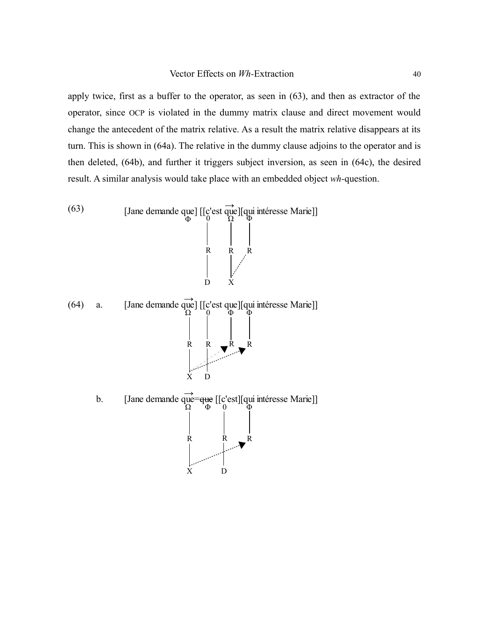apply twice, first as a buffer to the operator, as seen in (63), and then as extractor of the operator, since OCP is violated in the dummy matrix clause and direct movement would change the antecedent of the matrix relative. As a result the matrix relative disappears at its turn. This is shown in (64a). The relative in the dummy clause adjoins to the operator and is then deleted, (64b), and further it triggers subject inversion, as seen in (64c), the desired result. A similar analysis would take place with an embedded object *wh-*question.

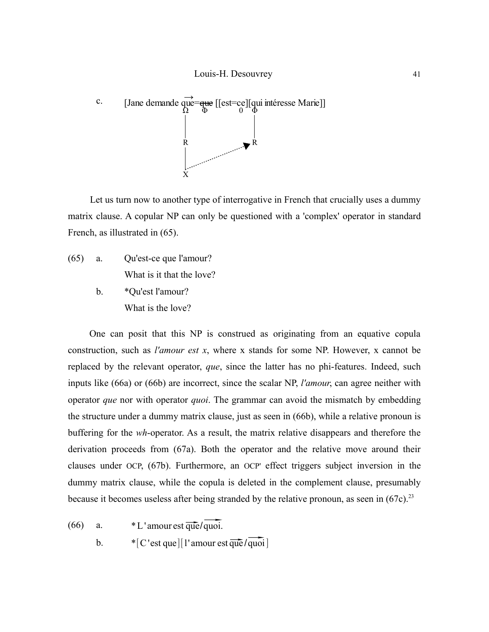

Let us turn now to another type of interrogative in French that crucially uses a dummy matrix clause. A copular NP can only be questioned with a 'complex' operator in standard French, as illustrated in (65).

(65) a. Qu'est-ce que l'amour? What is it that the love? b. \*Qu'est l'amour? What is the love?

One can posit that this NP is construed as originating from an equative copula construction, such as *l'amour est x*, where x stands for some NP. However, x cannot be replaced by the relevant operator, *que*, since the latter has no phi-features. Indeed, such inputs like (66a) or (66b) are incorrect, since the scalar NP, *l'amour*, can agree neither with operator *que* nor with operator *quoi*. The grammar can avoid the mismatch by embedding the structure under a dummy matrix clause, just as seen in (66b), while a relative pronoun is buffering for the *wh*-operator. As a result, the matrix relative disappears and therefore the derivation proceeds from (67a). Both the operator and the relative move around their clauses under OCP, (67b). Furthermore, an OCP' effect triggers subject inversion in the dummy matrix clause, while the copula is deleted in the complement clause, presumably because it becomes useless after being stranded by the relative pronoun, as seen in (67c).<sup>[23](#page-49-5)</sup><br>(66) a. \*L'amour est  $\overline{que}/\overline{quoi}$ .

a.  $*L'$  amour est  $\overline{q}\overline{u}\overline{e}/q\overline{u}\overline{0}$ .<br>b.  $*[C'est que][1'$  amour est  $\overline{q}\overline{u}\overline{e}/\overline{q}\overline{u}\overline{0}$ .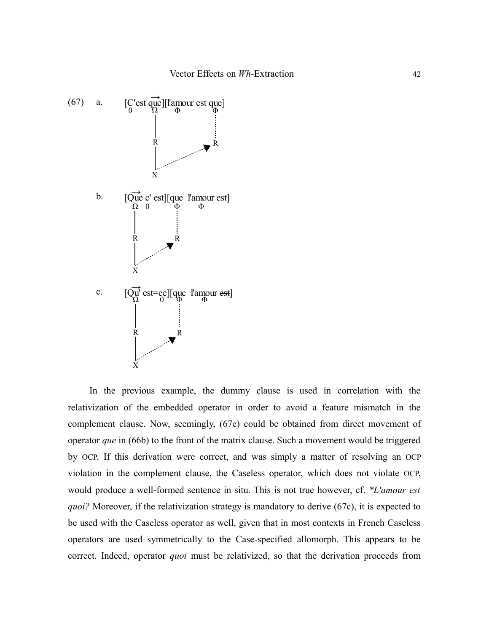

In the previous example, the dummy clause is used in correlation with the relativization of the embedded operator in order to avoid a feature mismatch in the complement clause. Now, seemingly, (67c) could be obtained from direct movement of operator *que* in (66b) to the front of the matrix clause. Such a movement would be triggered by OCP. If this derivation were correct, and was simply a matter of resolving an OCP violation in the complement clause, the Caseless operator, which does not violate OCP, would produce a well-formed sentence in situ. This is not true however, cf. *\*L'amour est quoi?* Moreover, if the relativization strategy is mandatory to derive (67c), it is expected to be used with the Caseless operator as well, given that in most contexts in French Caseless operators are used symmetrically to the Case-specified allomorph. This appears to be correct. Indeed, operator *quoi* must be relativized, so that the derivation proceeds from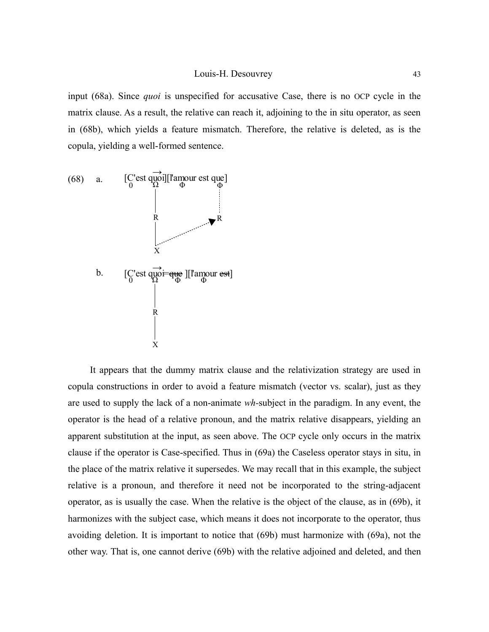input (68a). Since *quoi* is unspecified for accusative Case, there is no OCP cycle in the matrix clause. As a result, the relative can reach it, adjoining to the in situ operator, as seen in (68b), which yields a feature mismatch. Therefore, the relative is deleted, as is the copula, yielding a well-formed sentence.



It appears that the dummy matrix clause and the relativization strategy are used in copula constructions in order to avoid a feature mismatch (vector vs. scalar), just as they are used to supply the lack of a non-animate *wh-*subject in the paradigm. In any event, the operator is the head of a relative pronoun, and the matrix relative disappears, yielding an apparent substitution at the input, as seen above. The OCP cycle only occurs in the matrix clause if the operator is Case-specified. Thus in (69a) the Caseless operator stays in situ, in the place of the matrix relative it supersedes. We may recall that in this example, the subject relative is a pronoun, and therefore it need not be incorporated to the string-adjacent operator, as is usually the case. When the relative is the object of the clause, as in (69b), it harmonizes with the subject case, which means it does not incorporate to the operator, thus avoiding deletion. It is important to notice that (69b) must harmonize with (69a), not the other way. That is, one cannot derive (69b) with the relative adjoined and deleted, and then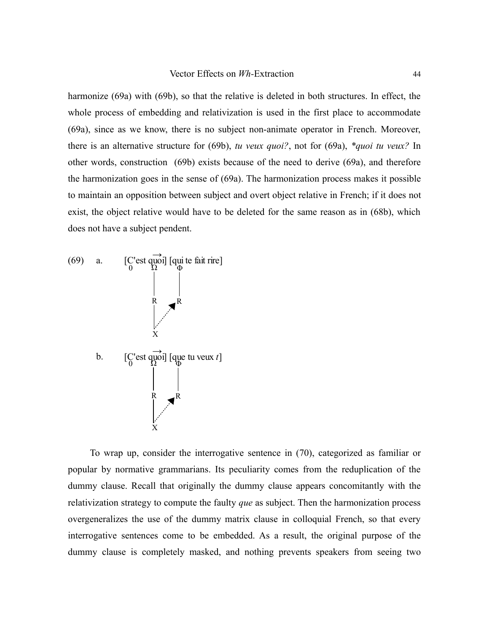harmonize (69a) with (69b), so that the relative is deleted in both structures. In effect, the whole process of embedding and relativization is used in the first place to accommodate (69a), since as we know, there is no subject non-animate operator in French. Moreover, there is an alternative structure for (69b), *tu veux quoi?*, not for (69a), *\*quoi tu veux?* In other words, construction (69b) exists because of the need to derive (69a), and therefore the harmonization goes in the sense of (69a). The harmonization process makes it possible to maintain an opposition between subject and overt object relative in French; if it does not exist, the object relative would have to be deleted for the same reason as in (68b), which does not have a subject pendent.



To wrap up, consider the interrogative sentence in (70), categorized as familiar or popular by normative grammarians. Its peculiarity comes from the reduplication of the dummy clause. Recall that originally the dummy clause appears concomitantly with the relativization strategy to compute the faulty *que* as subject. Then the harmonization process overgeneralizes the use of the dummy matrix clause in colloquial French, so that every interrogative sentences come to be embedded. As a result, the original purpose of the dummy clause is completely masked, and nothing prevents speakers from seeing two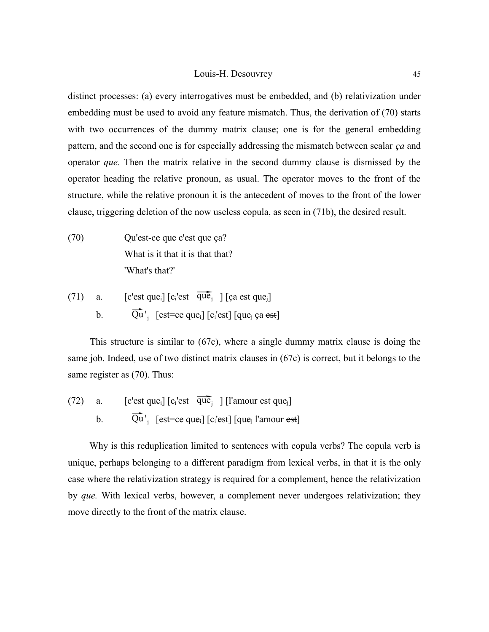distinct processes: (a) every interrogatives must be embedded, and (b) relativization under embedding must be used to avoid any feature mismatch. Thus, the derivation of (70) starts with two occurrences of the dummy matrix clause; one is for the general embedding pattern, and the second one is for especially addressing the mismatch between scalar *ça* and operator *que.* Then the matrix relative in the second dummy clause is dismissed by the operator heading the relative pronoun, as usual. The operator moves to the front of the structure, while the relative pronoun it is the antecedent of moves to the front of the lower clause, triggering deletion of the now useless copula, as seen in (71b), the desired result.

- (70) Qu'est-ce que c'est que ça? What is it that it is that that? 'What's that?'
- (71) a.  $[c'est que_i] [c_i'est \overline{que}_j] [ca est que_j]$ a. [c est que<sub>i</sub>] [c<sub>i</sub> est que<sub>i</sub>] [ça est que<sub>i</sub>]<br>b.  $\overline{Qu}$ <sup>'</sup><sub>j</sub> [est=ce que<sub>i</sub>] [c<sub>i</sub>'est] [que<sub>i</sub> ça est]

This structure is similar to (67c), where a single dummy matrix clause is doing the same job. Indeed, use of two distinct matrix clauses in (67c) is correct, but it belongs to the same register as (70). Thus:

(72) a.  $[c'est que_i] [c_i'est \overline{que}_j] [l'amour est que_j]$ a. [c est que<sub>i</sub>] [c<sub>i</sub> est que<sub>j</sub>] [1 amour est que<sub>j</sub>]<br>b.  $\overline{Qu}'_j$  [est=ce que<sub>i</sub>] [c<sub>i</sub>'est] [que<sub>j</sub> l'amour est]

Why is this reduplication limited to sentences with copula verbs? The copula verb is unique, perhaps belonging to a different paradigm from lexical verbs, in that it is the only case where the relativization strategy is required for a complement, hence the relativization by *que.* With lexical verbs, however, a complement never undergoes relativization; they move directly to the front of the matrix clause.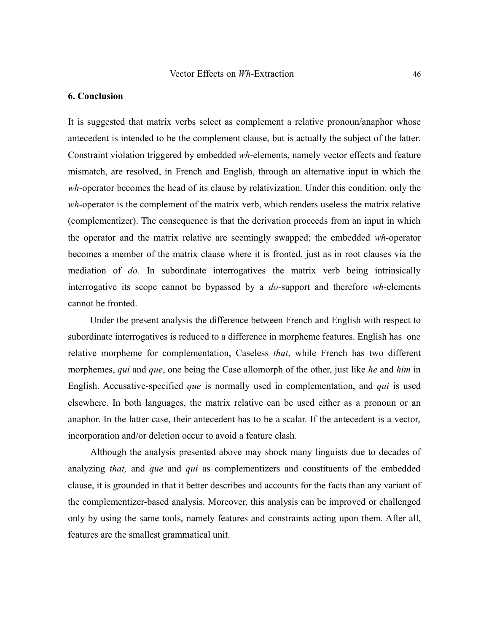## **6. Conclusion**

It is suggested that matrix verbs select as complement a relative pronoun/anaphor whose antecedent is intended to be the complement clause, but is actually the subject of the latter. Constraint violation triggered by embedded *wh*-elements, namely vector effects and feature mismatch, are resolved, in French and English, through an alternative input in which the *wh-*operator becomes the head of its clause by relativization. Under this condition, only the *wh-*operator is the complement of the matrix verb, which renders useless the matrix relative (complementizer). The consequence is that the derivation proceeds from an input in which the operator and the matrix relative are seemingly swapped; the embedded *wh-*operator becomes a member of the matrix clause where it is fronted, just as in root clauses via the mediation of *do.* In subordinate interrogatives the matrix verb being intrinsically interrogative its scope cannot be bypassed by a *do-*support and therefore *wh-*elements cannot be fronted.

Under the present analysis the difference between French and English with respect to subordinate interrogatives is reduced to a difference in morpheme features. English has one relative morpheme for complementation, Caseless *that*, while French has two different morphemes, *qui* and *que*, one being the Case allomorph of the other, just like *he* and *him* in English. Accusative-specified *que* is normally used in complementation, and *qui* is used elsewhere. In both languages, the matrix relative can be used either as a pronoun or an anaphor. In the latter case, their antecedent has to be a scalar. If the antecedent is a vector, incorporation and/or deletion occur to avoid a feature clash.

Although the analysis presented above may shock many linguists due to decades of analyzing *that,* and *que* and *qui* as complementizers and constituents of the embedded clause, it is grounded in that it better describes and accounts for the facts than any variant of the complementizer-based analysis. Moreover, this analysis can be improved or challenged only by using the same tools, namely features and constraints acting upon them. After all, features are the smallest grammatical unit.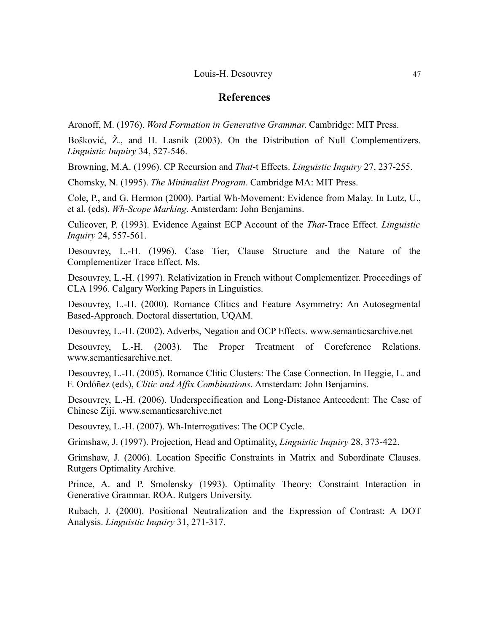# **References**

Aronoff, M. (1976). *Word Formation in Generative Grammar*. Cambridge: MIT Press.

Bošković, Ž., and H. Lasnik (2003). On the Distribution of Null Complementizers. *Linguistic Inquiry* 34, 527-546.

Browning, M.A. (1996). CP Recursion and *That*-t Effects. *Linguistic Inquiry* 27, 237-255.

Chomsky, N. (1995). *The Minimalist Program*. Cambridge MA: MIT Press.

Cole, P., and G. Hermon (2000). Partial Wh-Movement: Evidence from Malay. In Lutz, U., et al. (eds), *Wh-Scope Marking*. Amsterdam: John Benjamins.

Culicover, P. (1993). Evidence Against ECP Account of the *That*-Trace Effect. *Linguistic Inquiry* 24, 557-561.

Desouvrey, L.-H. (1996). Case Tier, Clause Structure and the Nature of the Complementizer Trace Effect. Ms.

Desouvrey, L.-H. (1997). Relativization in French without Complementizer. Proceedings of CLA 1996. Calgary Working Papers in Linguistics.

Desouvrey, L.-H. (2000). Romance Clitics and Feature Asymmetry: An Autosegmental Based-Approach. Doctoral dissertation, UQAM.

Desouvrey, L.-H. (2002). Adverbs, Negation and OCP Effects. www.semanticsarchive.net

Desouvrey, L.-H. (2003). The Proper Treatment of Coreference Relations. www.semanticsarchive.net.

Desouvrey, L.-H. (2005). Romance Clitic Clusters: The Case Connection. In Heggie, L. and F. Ordóñez (eds), *Clitic and Affix Combinations*. Amsterdam: John Benjamins.

Desouvrey, L.-H. (2006). Underspecification and Long-Distance Antecedent: The Case of Chinese Ziji. www.semanticsarchive.net

Desouvrey, L.-H. (2007). Wh-Interrogatives: The OCP Cycle.

Grimshaw, J. (1997). Projection, Head and Optimality, *Linguistic Inquiry* 28, 373-422.

Grimshaw, J. (2006). Location Specific Constraints in Matrix and Subordinate Clauses. Rutgers Optimality Archive.

Prince, A. and P. Smolensky (1993). Optimality Theory: Constraint Interaction in Generative Grammar. ROA. Rutgers University.

Rubach, J. (2000). Positional Neutralization and the Expression of Contrast: A DOT Analysis. *Linguistic Inquiry* 31, 271-317.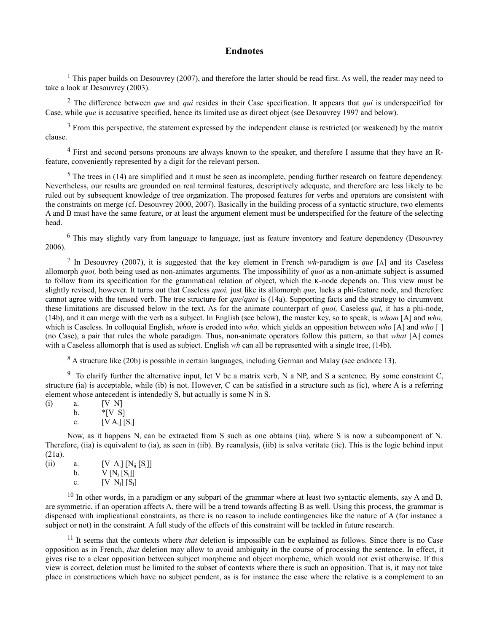## **Endnotes**

<span id="page-47-0"></span><sup>1</sup> This paper builds on Desouvrey (2007), and therefore the latter should be read first. As well, the reader may need to take a look at Desouvrey (2003).

<span id="page-47-1"></span><sup>2</sup> The difference between *que* and *qui* resides in their Case specification. It appears that *qui* is underspecified for Case, while *que* is accusative specified, hence its limited use as direct object (see Desouvrey 1997 and below).

<span id="page-47-2"></span> $3$  From this perspective, the statement expressed by the independent clause is restricted (or weakened) by the matrix clause.

<span id="page-47-3"></span><sup>4</sup> First and second persons pronouns are always known to the speaker, and therefore I assume that they have an Rfeature, conveniently represented by a digit for the relevant person.

<span id="page-47-4"></span> $5$  The trees in (14) are simplified and it must be seen as incomplete, pending further research on feature dependency. Nevertheless, our results are grounded on real terminal features, descriptively adequate, and therefore are less likely to be ruled out by subsequent knowledge of tree organization. The proposed features for verbs and operators are consistent with the constraints on merge (cf. Desouvrey 2000, 2007). Basically in the building process of a syntactic structure, two elements A and B must have the same feature, or at least the argument element must be underspecified for the feature of the selecting head.

<span id="page-47-5"></span><sup>6</sup> This may slightly vary from language to language, just as feature inventory and feature dependency (Desouvrey 2006).

<span id="page-47-6"></span>7 In Desouvrey (2007), it is suggested that the key element in French *wh*-paradigm is *que* [A] and its Caseless allomorph *quoi,* both being used as non-animates arguments. The impossibility of *quoi* as a non-animate subject is assumed to follow from its specification for the grammatical relation of object, which the K-node depends on. This view must be slightly revised, however. It turns out that Caseless *quoi,* just like its allomorph *que,* lacks a phi-feature node, and therefore cannot agree with the tensed verb. The tree structure for *que*/*quoi* is (14a). Supporting facts and the strategy to circumvent these limitations are discussed below in the text. As for the animate counterpart of *quoi,* Caseless *qui,* it has a phi-node, (14b), and it can merge with the verb as a subject. In English (see below), the master key, so to speak, is *whom* [A] and *who,* which is Caseless. In colloquial English, *whom* is eroded into *who,* which yields an opposition between *who* [A] and *who* [ ] (no Case), a pair that rules the whole paradigm. Thus, non-animate operators follow this pattern, so that *what* [A] comes with a Caseless allomorph that is used as subject. English wh can all be represented with a single tree, (14b).

<span id="page-47-8"></span><span id="page-47-7"></span><sup>8</sup> A structure like (20b) is possible in certain languages, including German and Malay (see endnote 13).

<sup>9</sup> To clarify further the alternative input, let V be a matrix verb, N a NP, and S a sentence. By some constraint C, structure (ia) is acceptable, while (ib) is not. However, C can be satisfied in a structure such as (ic), where A is a referring element whose antecedent is intendedly S, but actually is some N in S.

(i) a. [V N] b.  $*[\text{V} \text{S}]$ c.  $[V A_i] [S_i]$ 

Now, as it happens Ni can be extracted from S such as one obtains (iia), where S is now a subcomponent of N. Therefore, (iia) is equivalent to (ia), as seen in (iib). By reanalysis, (iib) is salva veritate (iic). This is the logic behind input (21a).

| (ii) | a. | $[V A_i] [N_{ij} [S_j]]$ |
|------|----|--------------------------|
|      | h. | $V[N_j[S_j]]$            |
|      | C. | $[V N_i] [S_i]$          |

<span id="page-47-9"></span> $10$  In other words, in a paradigm or any subpart of the grammar where at least two syntactic elements, say A and B, are symmetric, if an operation affects A, there will be a trend towards affecting B as well. Using this process, the grammar is dispensed with implicational constraints, as there is no reason to include contingencies like the nature of A (for instance a subject or not) in the constraint. A full study of the effects of this constraint will be tackled in future research.

<span id="page-47-10"></span><sup>11</sup> It seems that the contexts where *that* deletion is impossible can be explained as follows. Since there is no Case opposition as in French, *that* deletion may allow to avoid ambiguity in the course of processing the sentence. In effect, it gives rise to a clear opposition between subject morpheme and object morpheme, which would not exist otherwise. If this view is correct, deletion must be limited to the subset of contexts where there is such an opposition. That is, it may not take place in constructions which have no subject pendent, as is for instance the case where the relative is a complement to an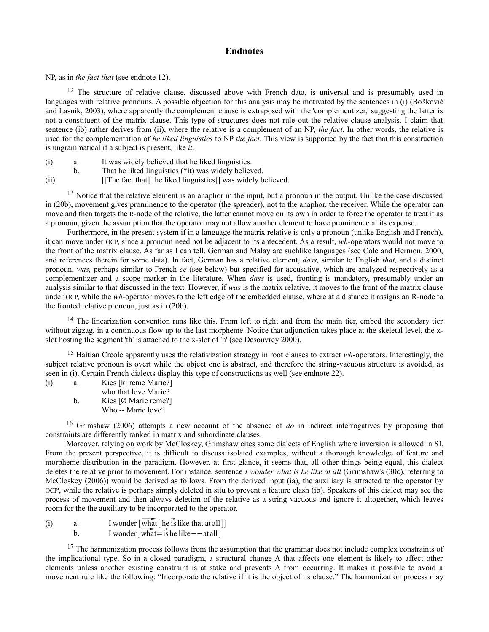## **Endnotes**

NP, as in *the fact that* (see endnote 12).

<span id="page-48-0"></span><sup>12</sup> The structure of relative clause, discussed above with French data, is universal and is presumably used in languages with relative pronouns. A possible objection for this analysis may be motivated by the sentences in (i) (Bošković and Lasnik, 2003), where apparently the complement clause is extraposed with the 'complementizer,' suggesting the latter is not a constituent of the matrix clause. This type of structures does not rule out the relative clause analysis. I claim that sentence (ib) rather derives from (ii), where the relative is a complement of an NP, *the fact.* In other words, the relative is used for the complementation of *he liked linguistics* to NP *the fact*. This view is supported by the fact that this construction is ungrammatical if a subject is present, like *it*.

- (i) a. It was widely believed that he liked linguistics.
- b. That he liked linguistics (\*it) was widely believed.
- (ii) [[The fact that] [he liked linguistics]] was widely believed.

<span id="page-48-1"></span><sup>13</sup> Notice that the relative element is an anaphor in the input, but a pronoun in the output. Unlike the case discussed in (20b), movement gives prominence to the operator (the spreader), not to the anaphor, the receiver. While the operator can move and then targets the R-node of the relative, the latter cannot move on its own in order to force the operator to treat it as a pronoun, given the assumption that the operator may not allow another element to have prominence at its expense.

Furthermore, in the present system if in a language the matrix relative is only a pronoun (unlike English and French), it can move under OCP, since a pronoun need not be adjacent to its antecedent. As a result, *wh-*operators would not move to the front of the matrix clause. As far as I can tell, German and Malay are suchlike languages (see Cole and Hermon, 2000, and references therein for some data). In fact, German has a relative element, *dass,* similar to English *that,* and a distinct pronoun, *was,* perhaps similar to French *ce* (see below) but specified for accusative, which are analyzed respectively as a complementizer and a scope marker in the literature. When *dass* is used, fronting is mandatory, presumably under an analysis similar to that discussed in the text. However, if *was* is the matrix relative, it moves to the front of the matrix clause under OCP, while the *wh-*operator moves to the left edge of the embedded clause, where at a distance it assigns an R-node to the fronted relative pronoun, just as in (20b).

<span id="page-48-2"></span> $14$  The linearization convention runs like this. From left to right and from the main tier, embed the secondary tier without zigzag, in a continuous flow up to the last morpheme. Notice that adjunction takes place at the skeletal level, the xslot hosting the segment 'th' is attached to the x-slot of 'n' (see Desouvrey 2000).

<span id="page-48-3"></span><sup>15</sup> Haitian Creole apparently uses the relativization strategy in root clauses to extract *wh*-operators. Interestingly, the subject relative pronoun is overt while the object one is abstract, and therefore the string-vacuous structure is avoided, as seen in (i). Certain French dialects display this type of constructions as well (see endnote 22).

(i) a. Kies [ki reme Marie?] who that love Marie? b. Kies [Ø Marie reme?] Who -- Marie love?

<span id="page-48-4"></span><sup>16</sup> Grimshaw (2006) attempts a new account of the absence of *do* in indirect interrogatives by proposing that constraints are differently ranked in matrix and subordinate clauses.

Moreover, relying on work by McCloskey, Grimshaw cites some dialects of English where inversion is allowed in SI. From the present perspective, it is difficult to discuss isolated examples, without a thorough knowledge of feature and morpheme distribution in the paradigm. However, at first glance, it seems that, all other things being equal, this dialect deletes the relative prior to movement. For instance, sentence *I wonder what is he like at all* (Grimshaw's (30c), referring to McCloskey (2006)) would be derived as follows. From the derived input (ia), the auxiliary is attracted to the operator by OCP', while the relative is perhaps simply deleted in situ to prevent a feature clash (ib). Speakers of this dialect may see the process of movement and then always deletion of the relative as a string vacuous and ignore it altogether, which leaves room for the the auxiliary to be incorporated to the operator. process of movement and then always deletion of the<br>room for the the auxiliary to be incorporated to the opera<br>(i) a. I wonder  $[\overline{\text{what}}]$  he is like that at all]]

|                 | Toom for the the auxiliary to be incorporated to the operat                                                                                                                                                 |
|-----------------|-------------------------------------------------------------------------------------------------------------------------------------------------------------------------------------------------------------|
| (i)<br>a.<br>h. | I wonder $\lceil \overline{\text{what}} \rceil$ he is like that at all $\lceil \overline{\text{h}} \rceil$<br>I wonder $\overrightarrow{\text{what}} = \overrightarrow{\text{is}}$ he like $-\text{at all}$ |

<span id="page-48-5"></span><sup>17</sup> The harmonization process follows from the assumption that the grammar does not include complex constraints of the implicational type. So in a closed paradigm, a structural change A that affects one element is likely to affect other elements unless another existing constraint is at stake and prevents A from occurring. It makes it possible to avoid a movement rule like the following: "Incorporate the relative if it is the object of its clause." The harmonization process may